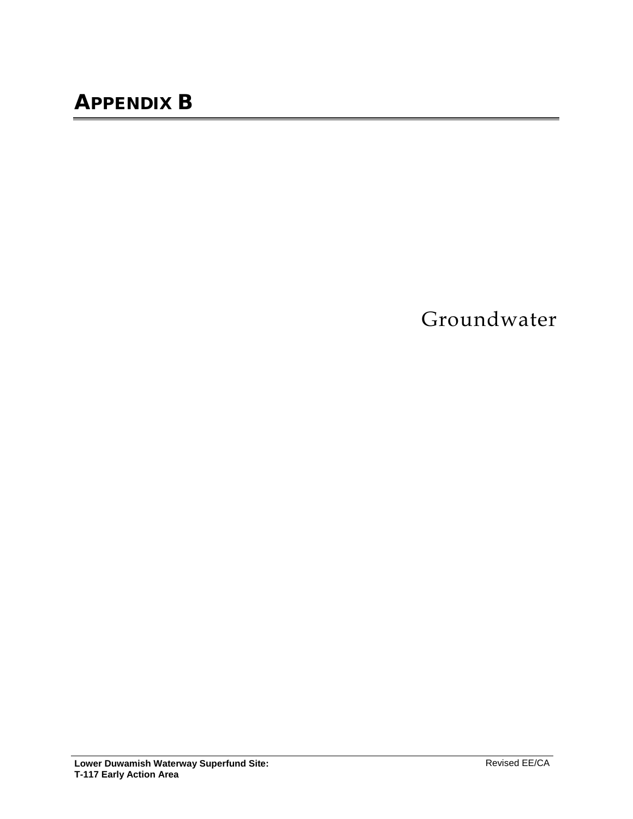Groundwater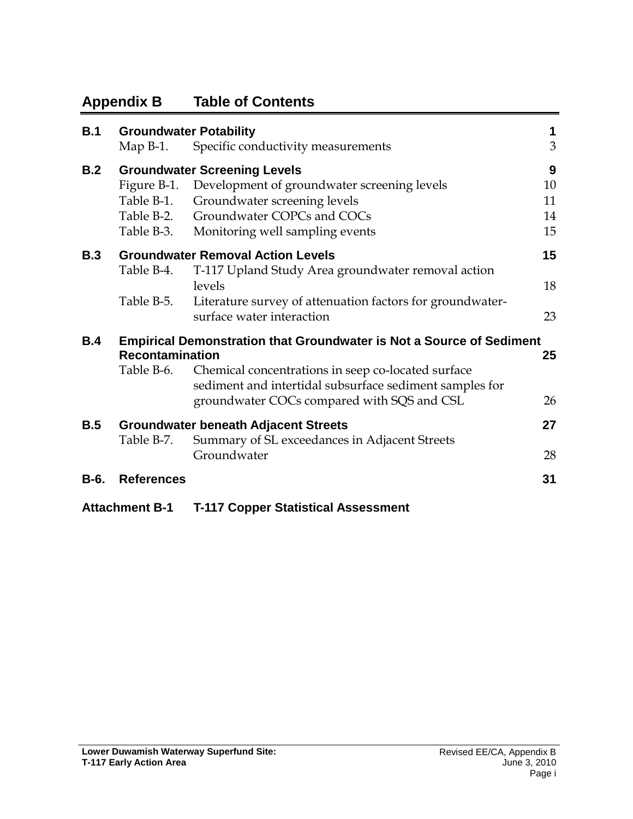# **Appendix B Table of Contents**

| B.1  | <b>Groundwater Potability</b> |                                                                                                               | $\mathbf 1$ |
|------|-------------------------------|---------------------------------------------------------------------------------------------------------------|-------------|
|      | Map $B-1$ .                   | Specific conductivity measurements                                                                            | 3           |
| B.2  |                               | <b>Groundwater Screening Levels</b>                                                                           | 9           |
|      |                               | Figure B-1. Development of groundwater screening levels                                                       | 10          |
|      |                               | Table B-1. Groundwater screening levels                                                                       | 11          |
|      |                               | Table B-2. Groundwater COPCs and COCs                                                                         | 14          |
|      |                               | Table B-3. Monitoring well sampling events                                                                    | 15          |
| B.3  |                               | <b>Groundwater Removal Action Levels</b>                                                                      | 15          |
|      | Table B-4.                    | T-117 Upland Study Area groundwater removal action<br>levels                                                  | 18          |
|      | Table B-5.                    | Literature survey of attenuation factors for groundwater-<br>surface water interaction                        | 23          |
| B.4  | <b>Recontamination</b>        | <b>Empirical Demonstration that Groundwater is Not a Source of Sediment</b>                                   | 25          |
|      | Table B-6.                    | Chemical concentrations in seep co-located surface<br>sediment and intertidal subsurface sediment samples for |             |
|      |                               | groundwater COCs compared with SQS and CSL                                                                    | 26          |
| B.5  |                               | <b>Groundwater beneath Adjacent Streets</b>                                                                   | 27          |
|      | Table B-7.                    | Summary of SL exceedances in Adjacent Streets                                                                 |             |
|      |                               | Groundwater                                                                                                   | 28          |
| B-6. | <b>References</b>             |                                                                                                               | 31          |

**Attachment B-1 T-117 Copper Statistical Assessment**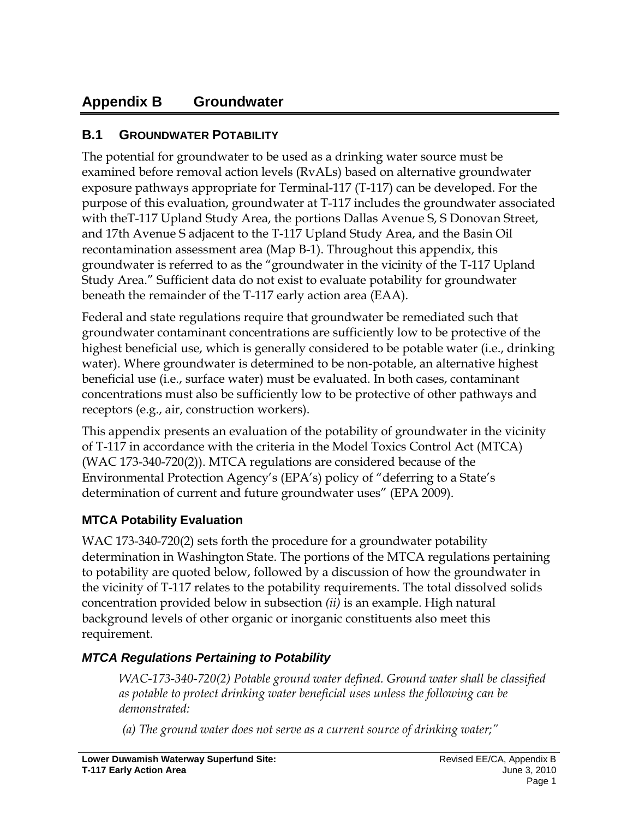# **Appendix B Groundwater**

## <span id="page-2-0"></span>**B.1 GROUNDWATER POTABILITY**

The potential for groundwater to be used as a drinking water source must be examined before removal action levels (RvALs) based on alternative groundwater exposure pathways appropriate for Terminal-117 (T-117) can be developed. For the purpose of this evaluation, groundwater at T-117 includes the groundwater associated with theT-117 Upland Study Area, the portions Dallas Avenue S, S Donovan Street, and 17th Avenue S adjacent to the T-117 Upland Study Area, and the Basin Oil recontamination assessment area (Map B-1). Throughout this appendix, this groundwater is referred to as the "groundwater in the vicinity of the T-117 Upland Study Area." Sufficient data do not exist to evaluate potability for groundwater beneath the remainder of the T-117 early action area (EAA).

Federal and state regulations require that groundwater be remediated such that groundwater contaminant concentrations are sufficiently low to be protective of the highest beneficial use, which is generally considered to be potable water (i.e., drinking water). Where groundwater is determined to be non-potable, an alternative highest beneficial use (i.e., surface water) must be evaluated. In both cases, contaminant concentrations must also be sufficiently low to be protective of other pathways and receptors (e.g., air, construction workers).

This appendix presents an evaluation of the potability of groundwater in the vicinity of T-117 in accordance with the criteria in the Model Toxics Control Act (MTCA) (WAC 173-340-720(2)). MTCA regulations are considered because of the Environmental Protection Agency's (EPA's) policy of "deferring to a State's determination of current and future groundwater uses" (EPA 2009).

### **MTCA Potability Evaluation**

WAC 173-340-720(2) sets forth the procedure for a groundwater potability determination in Washington State. The portions of the MTCA regulations pertaining to potability are quoted below, followed by a discussion of how the groundwater in the vicinity of T-117 relates to the potability requirements. The total dissolved solids concentration provided below in subsection *(ii)* is an example. High natural background levels of other organic or inorganic constituents also meet this requirement.

### *MTCA Regulations Pertaining to Potability*

*WAC-173-340-720(2) Potable ground water defined. Ground water shall be classified as potable to protect drinking water beneficial uses unless the following can be demonstrated:*

*(a) The ground water does not serve as a current source of drinking water;"*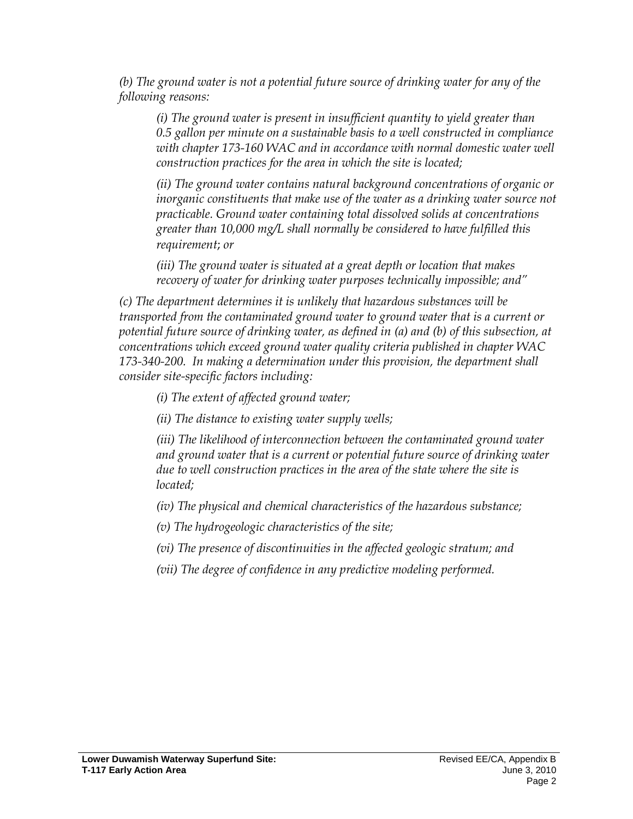*(b) The ground water is not a potential future source of drinking water for any of the following reasons:*

*(i) The ground water is present in insufficient quantity to yield greater than 0.5 gallon per minute on a sustainable basis to a well constructed in compliance*  with chapter 173-160 WAC and in accordance with normal domestic water well *construction practices for the area in which the site is located;*

*(ii) The ground water contains natural background concentrations of organic or inorganic constituents that make use of the water as a drinking water source not practicable. Ground water containing total dissolved solids at concentrations greater than 10,000 mg/L shall normally be considered to have fulfilled this requirement*; *or*

*(iii) The ground water is situated at a great depth or location that makes recovery of water for drinking water purposes technically impossible; and"*

*(c) The department determines it is unlikely that hazardous substances will be transported from the contaminated ground water to ground water that is a current or potential future source of drinking water, as defined in (a) and (b) of this subsection, at concentrations which exceed ground water quality criteria published in chapter WAC 173-340-200. In making a determination under this provision, the department shall consider site-specific factors including:*

*(i) The extent of affected ground water;*

*(ii) The distance to existing water supply wells;*

*(iii) The likelihood of interconnection between the contaminated ground water and ground water that is a current or potential future source of drinking water due to well construction practices in the area of the state where the site is located;*

*(iv) The physical and chemical characteristics of the hazardous substance;*

*(v) The hydrogeologic characteristics of the site;*

*(vi) The presence of discontinuities in the affected geologic stratum; and*

*(vii) The degree of confidence in any predictive modeling performed.*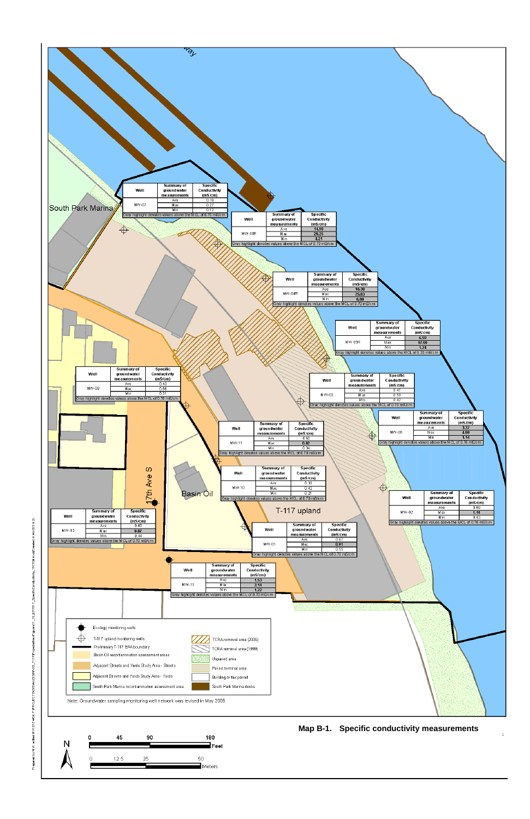

ivity\_111709.mxd(Created in ArcGIS 9.2)



#### **Map B-1. Specific conductivity measurements**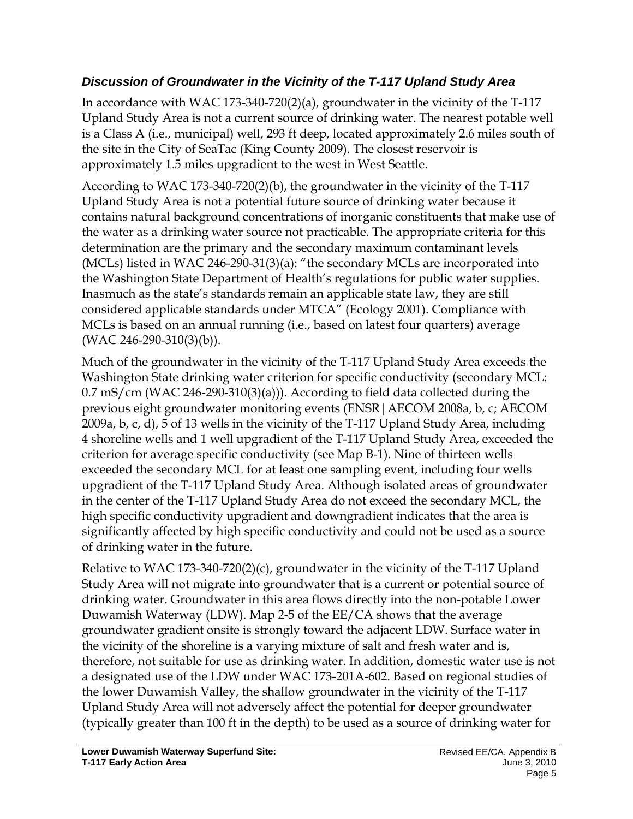### *Discussion of Groundwater in the Vicinity of the T-117 Upland Study Area*

In accordance with WAC 173-340-720(2)(a), groundwater in the vicinity of the T-117 Upland Study Area is not a current source of drinking water. The nearest potable well is a Class A (i.e., municipal) well, 293 ft deep, located approximately 2.6 miles south of the site in the City of SeaTac (King County 2009). The closest reservoir is approximately 1.5 miles upgradient to the west in West Seattle.

According to WAC 173-340-720(2)(b), the groundwater in the vicinity of the T-117 Upland Study Area is not a potential future source of drinking water because it contains natural background concentrations of inorganic constituents that make use of the water as a drinking water source not practicable. The appropriate criteria for this determination are the primary and the secondary maximum contaminant levels (MCLs) listed in WAC 246-290-31(3)(a): "the secondary MCLs are incorporated into the Washington State Department of Health's regulations for public water supplies. Inasmuch as the state's standards remain an applicable state law, they are still considered applicable standards under MTCA" (Ecology 2001). Compliance with MCLs is based on an annual running (i.e., based on latest four quarters) average (WAC 246-290-310(3)(b)).

Much of the groundwater in the vicinity of the T-117 Upland Study Area exceeds the Washington State drinking water criterion for specific conductivity (secondary MCL:  $0.7 \text{ mS/cm}$  (WAC 246-290-310(3)(a))). According to field data collected during the previous eight groundwater monitoring events (ENSR|AECOM 2008a, b, c; AECOM 2009a, b, c, d), 5 of 13 wells in the vicinity of the T-117 Upland Study Area, including 4 shoreline wells and 1 well upgradient of the T-117 Upland Study Area, exceeded the criterion for average specific conductivity (see Map B-1). Nine of thirteen wells exceeded the secondary MCL for at least one sampling event, including four wells upgradient of the T-117 Upland Study Area. Although isolated areas of groundwater in the center of the T-117 Upland Study Area do not exceed the secondary MCL, the high specific conductivity upgradient and downgradient indicates that the area is significantly affected by high specific conductivity and could not be used as a source of drinking water in the future.

Relative to WAC 173-340-720(2)(c), groundwater in the vicinity of the T-117 Upland Study Area will not migrate into groundwater that is a current or potential source of drinking water. Groundwater in this area flows directly into the non-potable Lower Duwamish Waterway (LDW). Map 2-5 of the EE/CA shows that the average groundwater gradient onsite is strongly toward the adjacent LDW. Surface water in the vicinity of the shoreline is a varying mixture of salt and fresh water and is, therefore, not suitable for use as drinking water. In addition, domestic water use is not a designated use of the LDW under WAC 173-201A-602. Based on regional studies of the lower Duwamish Valley, the shallow groundwater in the vicinity of the T-117 Upland Study Area will not adversely affect the potential for deeper groundwater (typically greater than 100 ft in the depth) to be used as a source of drinking water for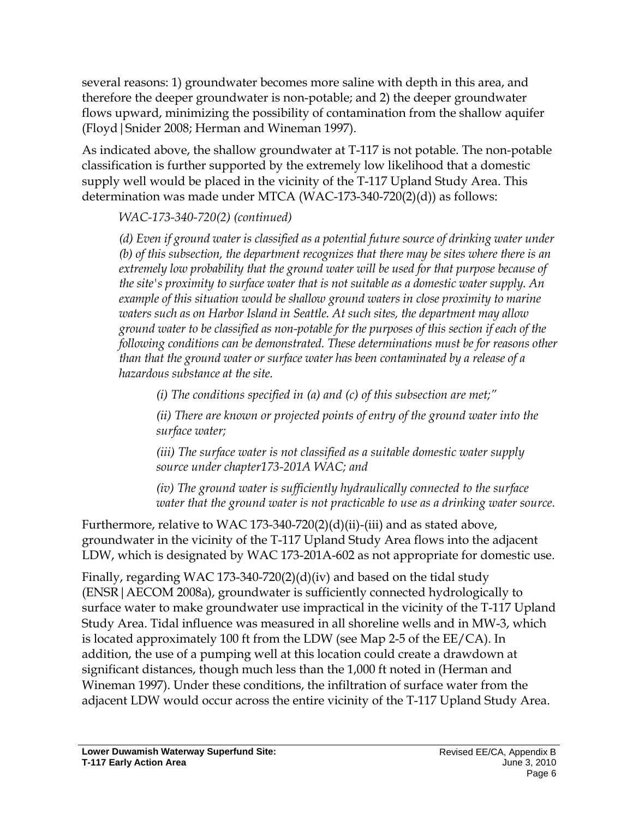several reasons: 1) groundwater becomes more saline with depth in this area, and therefore the deeper groundwater is non-potable; and 2) the deeper groundwater flows upward, minimizing the possibility of contamination from the shallow aquifer (Floyd|Snider 2008; Herman and Wineman 1997).

As indicated above, the shallow groundwater at T-117 is not potable. The non-potable classification is further supported by the extremely low likelihood that a domestic supply well would be placed in the vicinity of the T-117 Upland Study Area. This determination was made under MTCA (WAC-173-340-720(2)(d)) as follows:

### *WAC-173-340-720(2) (continued)*

*(d) Even if ground water is classified as a potential future source of drinking water under (b) of this subsection, the department recognizes that there may be sites where there is an extremely low probability that the ground water will be used for that purpose because of the site's proximity to surface water that is not suitable as a domestic water supply. An example of this situation would be shallow ground waters in close proximity to marine waters such as on Harbor Island in Seattle. At such sites, the department may allow ground water to be classified as non-potable for the purposes of this section if each of the following conditions can be demonstrated. These determinations must be for reasons other than that the ground water or surface water has been contaminated by a release of a hazardous substance at the site.*

*(i) The conditions specified in (a) and (c) of this subsection are met;"*

*(ii) There are known or projected points of entry of the ground water into the surface water;*

*(iii) The surface water is not classified as a suitable domestic water supply source under chapter173-201A WAC; and*

*(iv) The ground water is sufficiently hydraulically connected to the surface water that the ground water is not practicable to use as a drinking water source.*

Furthermore, relative to WAC 173-340-720(2)(d)(ii)-(iii) and as stated above, groundwater in the vicinity of the T-117 Upland Study Area flows into the adjacent LDW, which is designated by WAC 173-201A-602 as not appropriate for domestic use.

Finally, regarding WAC 173-340-720(2)(d)(iv) and based on the tidal study (ENSR|AECOM 2008a), groundwater is sufficiently connected hydrologically to surface water to make groundwater use impractical in the vicinity of the T-117 Upland Study Area. Tidal influence was measured in all shoreline wells and in MW-3, which is located approximately 100 ft from the LDW (see Map 2-5 of the EE/CA). In addition, the use of a pumping well at this location could create a drawdown at significant distances, though much less than the 1,000 ft noted in (Herman and Wineman 1997). Under these conditions, the infiltration of surface water from the adjacent LDW would occur across the entire vicinity of the T-117 Upland Study Area.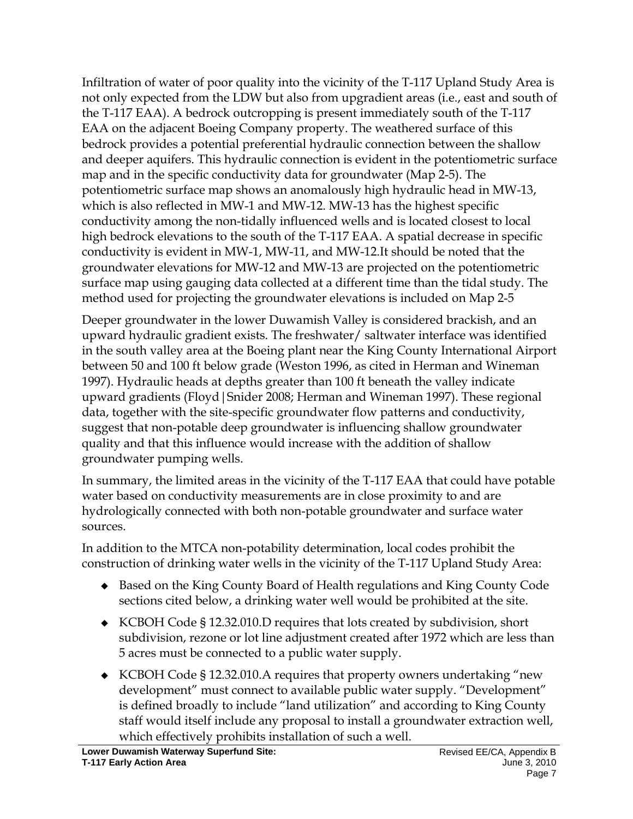Infiltration of water of poor quality into the vicinity of the T-117 Upland Study Area is not only expected from the LDW but also from upgradient areas (i.e., east and south of the T-117 EAA). A bedrock outcropping is present immediately south of the T-117 EAA on the adjacent Boeing Company property. The weathered surface of this bedrock provides a potential preferential hydraulic connection between the shallow and deeper aquifers. This hydraulic connection is evident in the potentiometric surface map and in the specific conductivity data for groundwater (Map 2-5). The potentiometric surface map shows an anomalously high hydraulic head in MW-13, which is also reflected in MW-1 and MW-12. MW-13 has the highest specific conductivity among the non-tidally influenced wells and is located closest to local high bedrock elevations to the south of the T-117 EAA. A spatial decrease in specific conductivity is evident in MW-1, MW-11, and MW-12.It should be noted that the groundwater elevations for MW-12 and MW-13 are projected on the potentiometric surface map using gauging data collected at a different time than the tidal study. The method used for projecting the groundwater elevations is included on Map 2-5

Deeper groundwater in the lower Duwamish Valley is considered brackish, and an upward hydraulic gradient exists. The freshwater/ saltwater interface was identified in the south valley area at the Boeing plant near the King County International Airport between 50 and 100 ft below grade (Weston 1996, as cited in Herman and Wineman 1997). Hydraulic heads at depths greater than 100 ft beneath the valley indicate upward gradients (Floyd|Snider 2008; Herman and Wineman 1997). These regional data, together with the site-specific groundwater flow patterns and conductivity, suggest that non-potable deep groundwater is influencing shallow groundwater quality and that this influence would increase with the addition of shallow groundwater pumping wells.

In summary, the limited areas in the vicinity of the T-117 EAA that could have potable water based on conductivity measurements are in close proximity to and are hydrologically connected with both non-potable groundwater and surface water sources.

In addition to the MTCA non-potability determination, local codes prohibit the construction of drinking water wells in the vicinity of the T-117 Upland Study Area:

- ◆ Based on the King County Board of Health regulations and King County Code sections cited below, a drinking water well would be prohibited at the site.
- ◆ KCBOH Code § 12.32.010.D requires that lots created by subdivision, short subdivision, rezone or lot line adjustment created after 1972 which are less than 5 acres must be connected to a public water supply.
- ◆ KCBOH Code § 12.32.010.A requires that property owners undertaking "new development" must connect to available public water supply. "Development" is defined broadly to include "land utilization" and according to King County staff would itself include any proposal to install a groundwater extraction well, which effectively prohibits installation of such a well.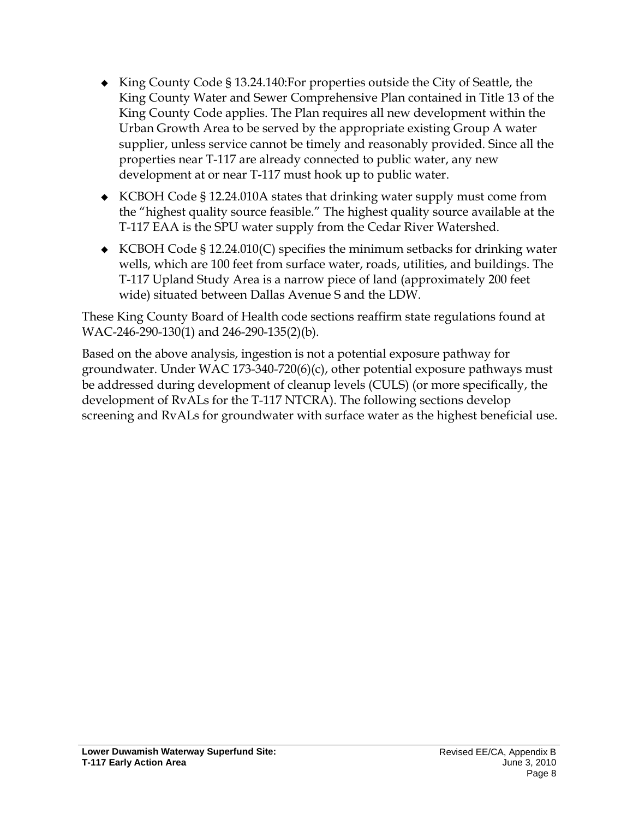- King County Code § 13.24.140:For properties outside the City of Seattle, the King County Water and Sewer Comprehensive Plan contained in Title 13 of the King County Code applies. The Plan requires all new development within the Urban Growth Area to be served by the appropriate existing Group A water supplier, unless service cannot be timely and reasonably provided. Since all the properties near T-117 are already connected to public water, any new development at or near T-117 must hook up to public water.
- ◆ KCBOH Code § 12.24.010A states that drinking water supply must come from the "highest quality source feasible." The highest quality source available at the T-117 EAA is the SPU water supply from the Cedar River Watershed.
- ◆ KCBOH Code § 12.24.010(C) specifies the minimum setbacks for drinking water wells, which are 100 feet from surface water, roads, utilities, and buildings. The T-117 Upland Study Area is a narrow piece of land (approximately 200 feet wide) situated between Dallas Avenue S and the LDW.

These King County Board of Health code sections reaffirm state regulations found at WAC-246-290-130(1) and 246-290-135(2)(b).

Based on the above analysis, ingestion is not a potential exposure pathway for groundwater. Under WAC 173-340-720(6)(c), other potential exposure pathways must be addressed during development of cleanup levels (CULS) (or more specifically, the development of RvALs for the T-117 NTCRA). The following sections develop screening and RvALs for groundwater with surface water as the highest beneficial use.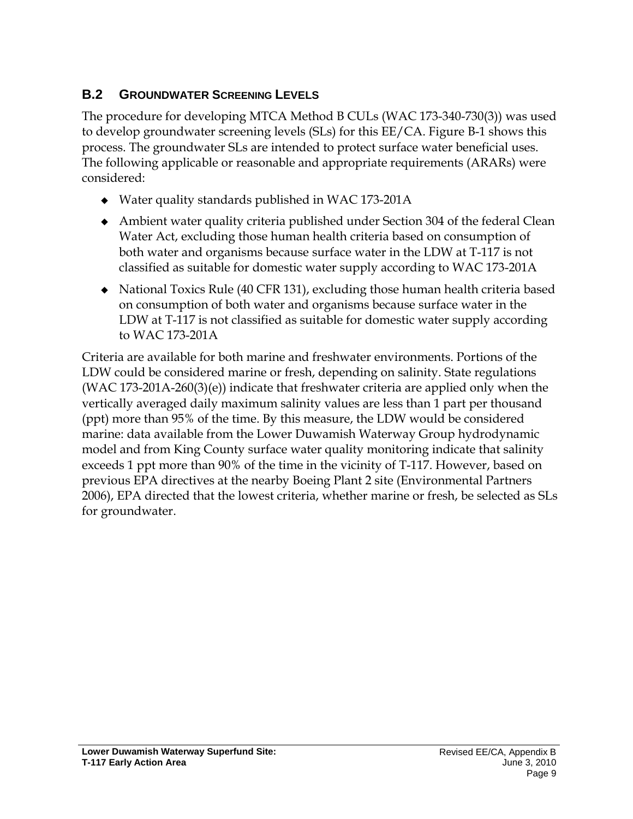# <span id="page-9-0"></span>**B.2 GROUNDWATER SCREENING LEVELS**

The procedure for developing MTCA Method B CULs (WAC 173-340-730(3)) was used to develop groundwater screening levels (SLs) for this EE/CA. Figure B-1 shows this process. The groundwater SLs are intended to protect surface water beneficial uses. The following applicable or reasonable and appropriate requirements (ARARs) were considered:

- Water quality standards published in WAC 173-201A
- Ambient water quality criteria published under Section 304 of the federal Clean Water Act, excluding those human health criteria based on consumption of both water and organisms because surface water in the LDW at T-117 is not classified as suitable for domestic water supply according to WAC 173-201A
- National Toxics Rule (40 CFR 131), excluding those human health criteria based on consumption of both water and organisms because surface water in the LDW at T-117 is not classified as suitable for domestic water supply according to WAC 173-201A

Criteria are available for both marine and freshwater environments. Portions of the LDW could be considered marine or fresh, depending on salinity. State regulations (WAC 173-201A-260(3)(e)) indicate that freshwater criteria are applied only when the vertically averaged daily maximum salinity values are less than 1 part per thousand (ppt) more than 95% of the time. By this measure, the LDW would be considered marine: data available from the Lower Duwamish Waterway Group hydrodynamic model and from King County surface water quality monitoring indicate that salinity exceeds 1 ppt more than 90% of the time in the vicinity of T-117. However, based on previous EPA directives at the nearby Boeing Plant 2 site (Environmental Partners 2006), EPA directed that the lowest criteria, whether marine or fresh, be selected as SLs for groundwater.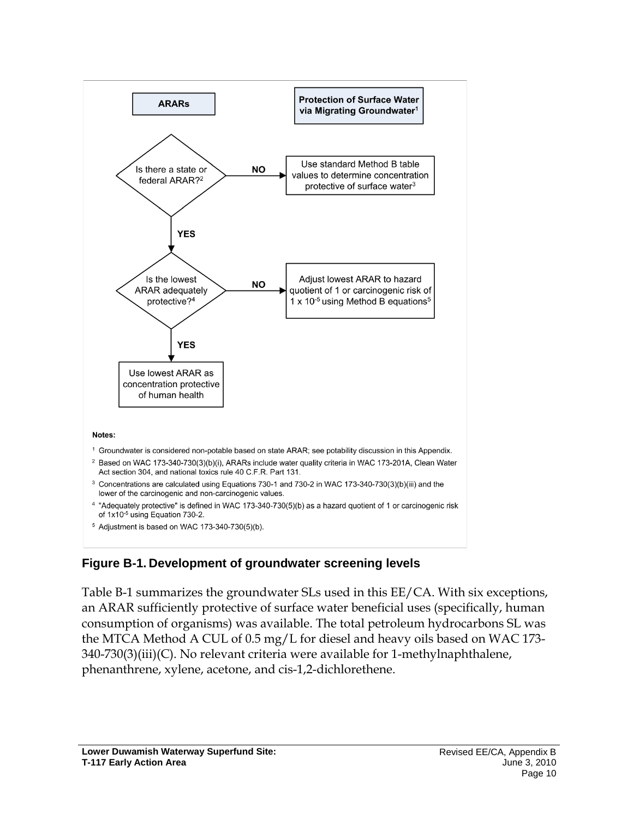

### <span id="page-10-0"></span>**Figure B-1. Development of groundwater screening levels**

Table B-1 summarizes the groundwater SLs used in this EE/CA. With six exceptions, an ARAR sufficiently protective of surface water beneficial uses (specifically, human consumption of organisms) was available. The total petroleum hydrocarbons SL was the MTCA Method A CUL of 0.5 mg/L for diesel and heavy oils based on WAC 173- 340-730(3)(iii)(C). No relevant criteria were available for 1-methylnaphthalene, phenanthrene, xylene, acetone, and cis-1,2-dichlorethene.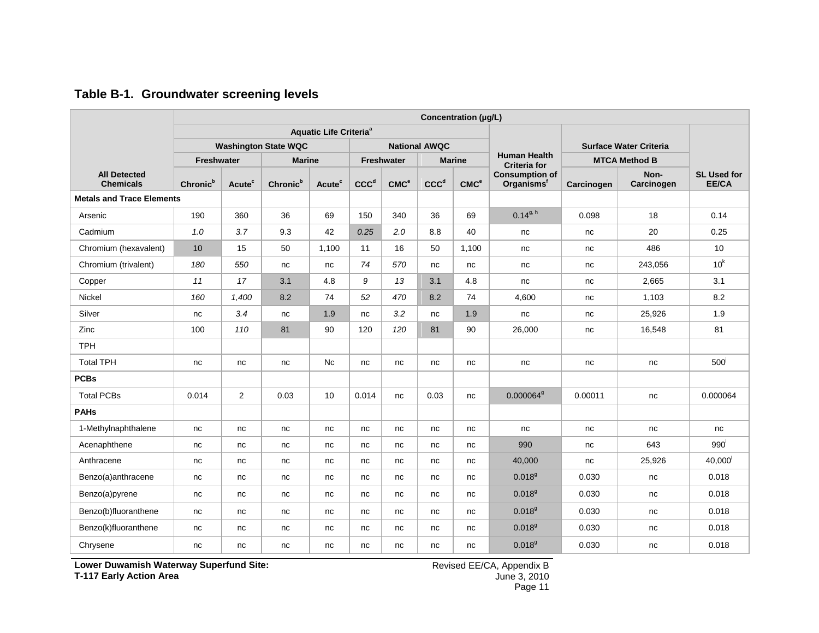<span id="page-11-0"></span>

|                                         |                      |                    |                             |                                          |                  |                   |                      | Concentration (µg/L) |                                                 |            |                               |                             |
|-----------------------------------------|----------------------|--------------------|-----------------------------|------------------------------------------|------------------|-------------------|----------------------|----------------------|-------------------------------------------------|------------|-------------------------------|-----------------------------|
|                                         |                      |                    |                             | <b>Aquatic Life Criteria<sup>ª</sup></b> |                  |                   |                      |                      |                                                 |            |                               |                             |
|                                         |                      |                    | <b>Washington State WQC</b> |                                          |                  |                   | <b>National AWQC</b> |                      |                                                 |            | <b>Surface Water Criteria</b> |                             |
|                                         | <b>Freshwater</b>    |                    | <b>Marine</b>               |                                          |                  | <b>Freshwater</b> |                      | <b>Marine</b>        | <b>Human Health</b><br><b>Criteria for</b>      |            | <b>MTCA Method B</b>          |                             |
| <b>All Detected</b><br><b>Chemicals</b> | Chronic <sup>b</sup> | Acute <sup>c</sup> | Chronic <sup>b</sup>        | Acute <sup>c</sup>                       | CCC <sup>d</sup> | CMC <sup>e</sup>  | CCC <sup>d</sup>     | CMC <sup>e</sup>     | <b>Consumption of</b><br>Organisms <sup>f</sup> | Carcinogen | Non-<br>Carcinogen            | <b>SL Used for</b><br>EE/CA |
| <b>Metals and Trace Elements</b>        |                      |                    |                             |                                          |                  |                   |                      |                      |                                                 |            |                               |                             |
| Arsenic                                 | 190                  | 360                | 36                          | 69                                       | 150              | 340               | 36                   | 69                   | $0.14^{9, h}$                                   | 0.098      | 18                            | 0.14                        |
| Cadmium                                 | 1.0                  | 3.7                | 9.3                         | 42                                       | 0.25             | 2.0               | 8.8                  | 40                   | nc                                              | nc         | 20                            | 0.25                        |
| Chromium (hexavalent)                   | 10                   | 15                 | 50                          | 1,100                                    | 11               | 16                | 50                   | 1,100                | nc                                              | nc         | 486                           | 10                          |
| Chromium (trivalent)                    | 180                  | 550                | nc                          | nc                                       | 74               | 570               | nc                   | nc                   | nc                                              | nc         | 243,056                       | 10 <sup>k</sup>             |
| Copper                                  | 11                   | 17                 | 3.1                         | 4.8                                      | 9                | 13                | 3.1                  | 4.8                  | nc                                              | nc         | 2,665                         | 3.1                         |
| Nickel                                  | 160                  | 1,400              | 8.2                         | 74                                       | 52               | 470               | 8.2                  | 74                   | 4,600                                           | nc         | 1,103                         | 8.2                         |
| Silver                                  | nc                   | 3.4                | nc                          | 1.9                                      | nc               | 3.2               | nc                   | 1.9                  | nc                                              | nc         | 25,926                        | 1.9                         |
| Zinc                                    | 100                  | 110                | 81                          | 90                                       | 120              | 120               | 81                   | 90                   | 26,000                                          | nc         | 16,548                        | 81                          |
| <b>TPH</b>                              |                      |                    |                             |                                          |                  |                   |                      |                      |                                                 |            |                               |                             |
| <b>Total TPH</b>                        | nc                   | nc                 | nc                          | Nc                                       | nc               | nc                | nc                   | nc                   | nc                                              | nc         | nc                            | 500 <sup>j</sup>            |
| <b>PCBs</b>                             |                      |                    |                             |                                          |                  |                   |                      |                      |                                                 |            |                               |                             |
| <b>Total PCBs</b>                       | 0.014                | $\overline{2}$     | 0.03                        | 10                                       | 0.014            | nc                | 0.03                 | nc                   | 0.0000649                                       | 0.00011    | nc                            | 0.000064                    |
| <b>PAHs</b>                             |                      |                    |                             |                                          |                  |                   |                      |                      |                                                 |            |                               |                             |
| 1-Methylnaphthalene                     | nc                   | nc                 | nc                          | nc                                       | nc               | nc                | nc                   | nc                   | nc                                              | nc         | nc                            | nc                          |
| Acenaphthene                            | nc                   | nc                 | nc                          | nc                                       | nc               | nc                | nc                   | nc                   | 990                                             | nc         | 643                           | 990 <sup>1</sup>            |
| Anthracene                              | nc                   | nc                 | nc                          | nc                                       | nc               | nc                | nc                   | nc                   | 40,000                                          | nc         | 25,926                        | 40,000                      |
| Benzo(a)anthracene                      | nc                   | nc                 | nc                          | nc                                       | nc               | nc                | nc                   | nc                   | 0.018 <sup>9</sup>                              | 0.030      | nc                            | 0.018                       |
| Benzo(a)pyrene                          | nc                   | nc                 | nc                          | nc                                       | nc               | nc                | nc                   | nc                   | 0.018 <sup>9</sup>                              | 0.030      | nc                            | 0.018                       |
| Benzo(b)fluoranthene                    | nc                   | nc                 | nc                          | nc                                       | nc               | nc                | nc                   | nc                   | 0.018 <sup>9</sup>                              | 0.030      | nc                            | 0.018                       |
| Benzo(k)fluoranthene                    | nc                   | nc                 | nc                          | nc                                       | nc               | nc                | nc                   | nc                   | $0.018^{9}$                                     | 0.030      | nc                            | 0.018                       |
| Chrysene                                | nc                   | nc                 | nc                          | nc                                       | nc               | nc                | nc                   | nc                   | $0.018^{9}$                                     | 0.030      | nc                            | 0.018                       |

#### **Table B-1. Groundwater screening levels**

**Lower Duwamish Waterway Superfund Site: T-117 Early Action Area**

Revised EE/CA, Appendix B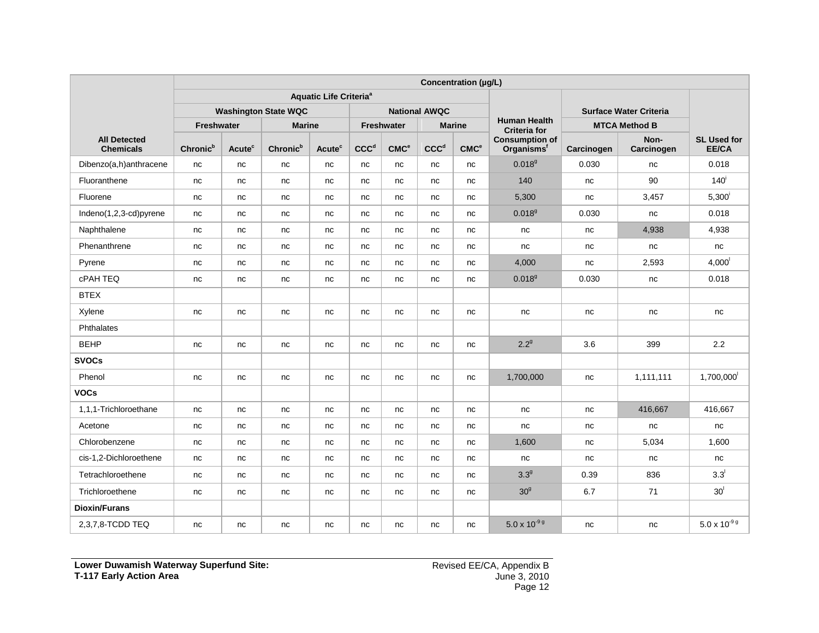|                                         |                      |                    |                             |                                          |                  |                  |                      | Concentration (µg/L) |                                                 |                               |                      |                                    |
|-----------------------------------------|----------------------|--------------------|-----------------------------|------------------------------------------|------------------|------------------|----------------------|----------------------|-------------------------------------------------|-------------------------------|----------------------|------------------------------------|
|                                         |                      |                    |                             | <b>Aquatic Life Criteria<sup>a</sup></b> |                  |                  |                      |                      |                                                 |                               |                      |                                    |
|                                         |                      |                    | <b>Washington State WQC</b> |                                          |                  |                  | <b>National AWQC</b> |                      |                                                 | <b>Surface Water Criteria</b> |                      |                                    |
|                                         | Freshwater           |                    | <b>Marine</b>               |                                          |                  | Freshwater       |                      | <b>Marine</b>        | <b>Human Health</b><br><b>Criteria for</b>      |                               | <b>MTCA Method B</b> |                                    |
| <b>All Detected</b><br><b>Chemicals</b> | Chronic <sup>b</sup> | Acute <sup>c</sup> | Chronic <sup>b</sup>        | Acute <sup>c</sup>                       | CCC <sup>d</sup> | CMC <sup>e</sup> | CCC <sup>d</sup>     | CMC <sup>e</sup>     | <b>Consumption of</b><br>Organisms <sup>f</sup> | Carcinogen                    | Non-<br>Carcinogen   | <b>SL Used for</b><br><b>EE/CA</b> |
| Dibenzo(a,h)anthracene                  | nc                   | nc                 | nc                          | nc                                       | nc               | nc               | nc                   | nc                   | 0.018 <sup>9</sup>                              | 0.030                         | nc                   | 0.018                              |
| Fluoranthene                            | nc                   | nc                 | nc                          | nc                                       | nc               | nc               | nc                   | nc                   | 140                                             | nc                            | 90                   | 140 <sup>i</sup>                   |
| Fluorene                                | nc                   | nc                 | nc                          | nc                                       | nc               | nc               | nc                   | nc                   | 5,300                                           | nc                            | 3,457                | $5,300^{\rm i}$                    |
| Indeno(1,2,3-cd)pyrene                  | nc                   | nc                 | nc                          | nc                                       | nc               | nc               | nc                   | nc                   | $0.018^{9}$                                     | 0.030                         | nc                   | 0.018                              |
| Naphthalene                             | nc                   | nc                 | nc                          | nc                                       | nc               | nc               | nc                   | nc                   | nc                                              | nc                            | 4,938                | 4,938                              |
| Phenanthrene                            | nc                   | nc                 | nc                          | nc                                       | nc               | nc               | nc                   | nc                   | nc                                              | nc                            | nc                   | nc                                 |
| Pyrene                                  | nc                   | nc                 | nc                          | nc                                       | nc               | nc               | nc                   | nc                   | 4,000                                           | nc                            | 2,593                | $4,000$ <sup><math> </math></sup>  |
| <b>cPAH TEQ</b>                         | nc                   | nc                 | nc                          | nc                                       | nc               | nc               | nc                   | nc                   | 0.018 <sup>9</sup>                              | 0.030                         | nc                   | 0.018                              |
| <b>BTEX</b>                             |                      |                    |                             |                                          |                  |                  |                      |                      |                                                 |                               |                      |                                    |
| Xylene                                  | nc                   | nc                 | nc                          | nc                                       | nc               | nc               | nc                   | nc                   | nc                                              | nc                            | nc                   | nc                                 |
| Phthalates                              |                      |                    |                             |                                          |                  |                  |                      |                      |                                                 |                               |                      |                                    |
| <b>BEHP</b>                             | nc                   | nc                 | nc                          | nc                                       | nc               | nc               | nc                   | nc                   | $2.2^9$                                         | 3.6                           | 399                  | 2.2                                |
| <b>SVOCs</b>                            |                      |                    |                             |                                          |                  |                  |                      |                      |                                                 |                               |                      |                                    |
| Phenol                                  | nc                   | nc                 | nc                          | nc                                       | nc               | nc               | nc                   | nc                   | 1,700,000                                       | nc                            | 1,111,111            | 1,700,000                          |
| VOCs                                    |                      |                    |                             |                                          |                  |                  |                      |                      |                                                 |                               |                      |                                    |
| 1,1,1-Trichloroethane                   | nc                   | nc                 | nc                          | nc                                       | nc               | nc               | nc                   | nc                   | nc                                              | nc                            | 416,667              | 416,667                            |
| Acetone                                 | nc                   | nc                 | nc                          | nc                                       | nc               | nc               | nc                   | nc                   | nc                                              | nc                            | nc                   | nc                                 |
| Chlorobenzene                           | nc                   | nc                 | nc                          | nc                                       | nc               | nc               | nc                   | nc                   | 1,600                                           | nc                            | 5,034                | 1,600                              |
| cis-1,2-Dichloroethene                  | nc                   | nc                 | nc                          | nc                                       | nc               | nc               | nc                   | nc                   | nc                                              | nc                            | nc                   | nc                                 |
| Tetrachloroethene                       | nc                   | nc                 | nc                          | nc                                       | nc               | nc               | nc                   | nc                   | 3.3 <sup>9</sup>                                | 0.39                          | 836                  | $3.3^{\prime}$                     |
| Trichloroethene                         | nc                   | nc                 | nc                          | nc                                       | nc               | nc               | nc                   | nc                   | 30 <sup>9</sup>                                 | 6.7                           | 71                   | 30 <sup>1</sup>                    |
| <b>Dioxin/Furans</b>                    |                      |                    |                             |                                          |                  |                  |                      |                      |                                                 |                               |                      |                                    |
| 2,3,7,8-TCDD TEQ                        | nc                   | nc                 | nc                          | nc                                       | nc               | nc               | nc                   | nc                   | $5.0 \times 10^{-9}$ g                          | nc                            | nc                   | $5.0\times10^{\text{-9 g}}$        |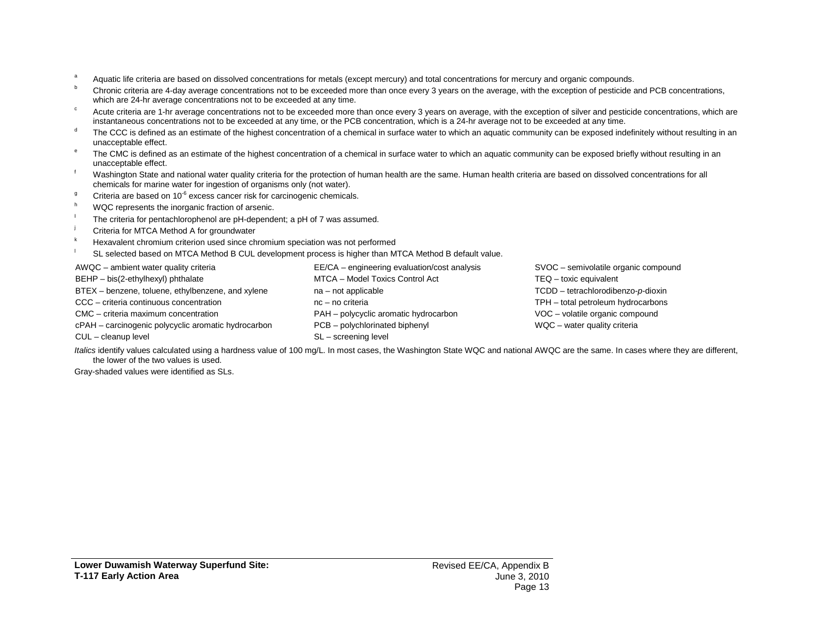- <sup>a</sup> Aquatic life criteria are based on dissolved concentrations for metals (except mercury) and total concentrations for mercury and organic compounds.
- <sup>b</sup> Chronic criteria are 4-day average concentrations not to be exceeded more than once every 3 years on the average, with the exception of pesticide and PCB concentrations, which are 24-hr average concentrations not to be exceeded at any time.
- <sup>c</sup> Acute criteria are 1-hr average concentrations not to be exceeded more than once every 3 years on average, with the exception of silver and pesticide concentrations, which are instantaneous concentrations not to be exceeded at any time, or the PCB concentration, which is a 24-hr average not to be exceeded at any time.
- <sup>d</sup> The CCC is defined as an estimate of the highest concentration of a chemical in surface water to which an aquatic community can be exposed indefinitely without resulting in an unacceptable effect.
- <sup>e</sup> The CMC is defined as an estimate of the highest concentration of a chemical in surface water to which an aquatic community can be exposed briefly without resulting in an unacceptable effect.
- Washington State and national water quality criteria for the protection of human health are the same. Human health criteria are based on dissolved concentrations for all chemicals for marine water for ingestion of organisms only (not water).
- Criteria are based on  $10^{-6}$  excess cancer risk for carcinogenic chemicals.
- WQC represents the inorganic fraction of arsenic.
- The criteria for pentachlorophenol are pH-dependent; a pH of 7 was assumed.
- Criteria for MTCA Method A for groundwater
- Hexavalent chromium criterion used since chromium speciation was not performed
- SL selected based on MTCA Method B CUL development process is higher than MTCA Method B default value.

AWQC – ambient water quality criteria BEHP – bis(2-ethylhexyl) phthalate BTEX – benzene, toluene, ethylbenzene, and xylene CCC – criteria continuous concentration CMC – criteria maximum concentration cPAH – carcinogenic polycyclic aromatic hydrocarbon CUL – cleanup level EE/CA – engineering evaluation/cost analysis MTCA – Model Toxics Control Act na – not applicable nc – no criteria PAH – polycyclic aromatic hydrocarbon PCB – polychlorinated biphenyl SL – screening level SVOC – semivolatile organic compound TEQ – toxic equivalent TCDD – tetrachlorodibenzo-*p*-dioxin TPH – total petroleum hydrocarbons VOC – volatile organic compound WQC – water quality criteria

Italics identify values calculated using a hardness value of 100 mg/L. In most cases, the Washington State WQC and national AWQC are the same. In cases where they are different, the lower of the two values is used.

Gray-shaded values were identified as SLs.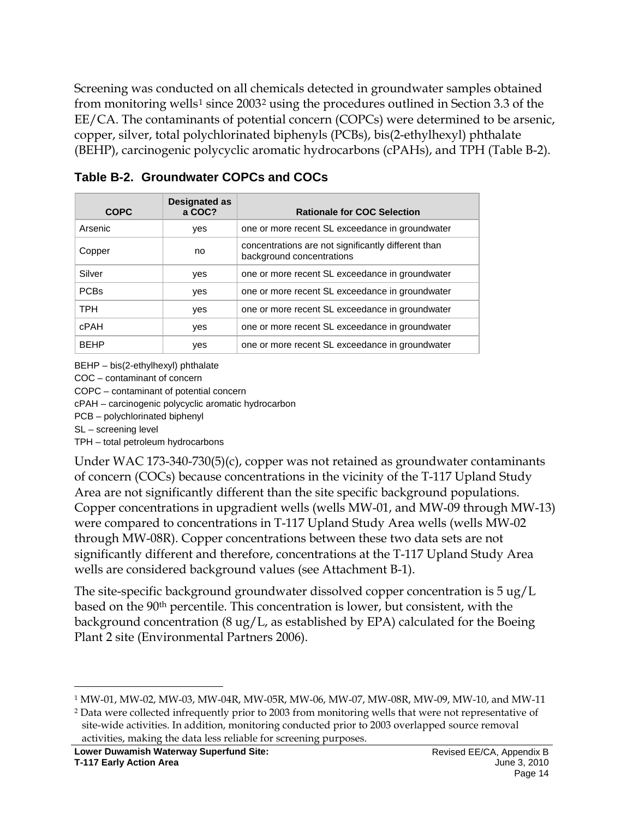Screening was conducted on all chemicals detected in groundwater samples obtained from monitoring wells<sup>[1](#page-14-1)</sup> since [2](#page-14-2)003<sup>2</sup> using the procedures outlined in Section 3.3 of the EE/CA. The contaminants of potential concern (COPCs) were determined to be arsenic, copper, silver, total polychlorinated biphenyls (PCBs), bis(2-ethylhexyl) phthalate (BEHP), carcinogenic polycyclic aromatic hydrocarbons (cPAHs), and TPH (Table B-2).

| <b>COPC</b> | Designated as<br>a COC? | <b>Rationale for COC Selection</b>                                               |
|-------------|-------------------------|----------------------------------------------------------------------------------|
| Arsenic     | yes                     | one or more recent SL exceedance in groundwater                                  |
| Copper      | no                      | concentrations are not significantly different than<br>background concentrations |
| Silver      | yes                     | one or more recent SL exceedance in groundwater                                  |
| <b>PCBs</b> | yes                     | one or more recent SL exceedance in groundwater                                  |
| <b>TPH</b>  | yes                     | one or more recent SL exceedance in groundwater                                  |
| <b>cPAH</b> | yes                     | one or more recent SL exceedance in groundwater                                  |
| <b>BEHP</b> | yes                     | one or more recent SL exceedance in groundwater                                  |

<span id="page-14-0"></span>**Table B-2. Groundwater COPCs and COCs**

BEHP – bis(2-ethylhexyl) phthalate

COC – contaminant of concern

COPC – contaminant of potential concern

cPAH – carcinogenic polycyclic aromatic hydrocarbon

PCB – polychlorinated biphenyl

SL – screening level

TPH – total petroleum hydrocarbons

Under WAC 173-340-730(5)(c), copper was not retained as groundwater contaminants of concern (COCs) because concentrations in the vicinity of the T-117 Upland Study Area are not significantly different than the site specific background populations. Copper concentrations in upgradient wells (wells MW-01, and MW-09 through MW-13) were compared to concentrations in T-117 Upland Study Area wells (wells MW-02 through MW-08R). Copper concentrations between these two data sets are not significantly different and therefore, concentrations at the T-117 Upland Study Area wells are considered background values (see Attachment B-1).

The site-specific background groundwater dissolved copper concentration is 5 ug/L based on the 90th percentile. This concentration is lower, but consistent, with the background concentration (8 ug/L, as established by EPA) calculated for the Boeing Plant 2 site (Environmental Partners 2006).

<span id="page-14-1"></span> <sup>1</sup> MW-01, MW-02, MW-03, MW-04R, MW-05R, MW-06, MW-07, MW-08R, MW-09, MW-10, and MW-11

<span id="page-14-2"></span><sup>2</sup> Data were collected infrequently prior to 2003 from monitoring wells that were not representative of site-wide activities. In addition, monitoring conducted prior to 2003 overlapped source removal activities, making the data less reliable for screening purposes.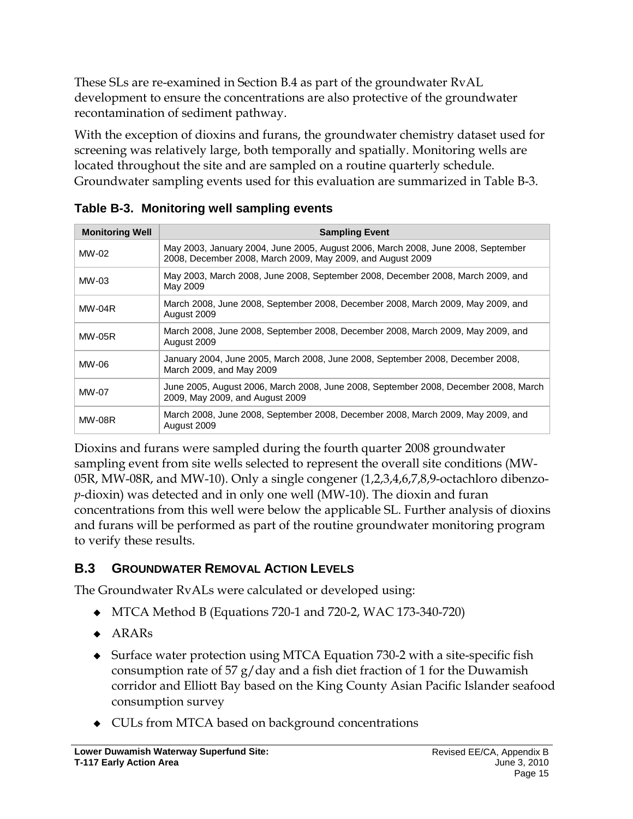These SLs are re-examined in Section B.4 as part of the groundwater RvAL development to ensure the concentrations are also protective of the groundwater recontamination of sediment pathway.

With the exception of dioxins and furans, the groundwater chemistry dataset used for screening was relatively large, both temporally and spatially. Monitoring wells are located throughout the site and are sampled on a routine quarterly schedule. Groundwater sampling events used for this evaluation are summarized in Table B-3.

| <b>Monitoring Well</b> | <b>Sampling Event</b>                                                                                                                          |
|------------------------|------------------------------------------------------------------------------------------------------------------------------------------------|
| MW-02                  | May 2003, January 2004, June 2005, August 2006, March 2008, June 2008, September<br>2008, December 2008, March 2009, May 2009, and August 2009 |
| $MW-03$                | May 2003, March 2008, June 2008, September 2008, December 2008, March 2009, and<br>May 2009                                                    |
| $MW-04R$               | March 2008, June 2008, September 2008, December 2008, March 2009, May 2009, and<br>August 2009                                                 |
| <b>MW-05R</b>          | March 2008, June 2008, September 2008, December 2008, March 2009, May 2009, and<br>August 2009                                                 |
| MW-06                  | January 2004, June 2005, March 2008, June 2008, September 2008, December 2008,<br>March 2009, and May 2009                                     |
| MW-07                  | June 2005, August 2006, March 2008, June 2008, September 2008, December 2008, March<br>2009, May 2009, and August 2009                         |
| <b>MW-08R</b>          | March 2008, June 2008, September 2008, December 2008, March 2009, May 2009, and<br>August 2009                                                 |

<span id="page-15-0"></span>**Table B-3. Monitoring well sampling events**

Dioxins and furans were sampled during the fourth quarter 2008 groundwater sampling event from site wells selected to represent the overall site conditions (MW-05R, MW-08R, and MW-10). Only a single congener (1,2,3,4,6,7,8,9-octachloro dibenzo*p*-dioxin) was detected and in only one well (MW-10). The dioxin and furan concentrations from this well were below the applicable SL. Further analysis of dioxins and furans will be performed as part of the routine groundwater monitoring program to verify these results.

# <span id="page-15-1"></span>**B.3 GROUNDWATER REMOVAL ACTION LEVELS**

The Groundwater RvALs were calculated or developed using:

- MTCA Method B (Equations 720-1 and 720-2, WAC 173-340-720)
- $\triangle$  ARARs
- Surface water protection using MTCA Equation 730-2 with a site-specific fish consumption rate of 57 g/day and a fish diet fraction of 1 for the Duwamish corridor and Elliott Bay based on the King County Asian Pacific Islander seafood consumption survey
- CULs from MTCA based on background concentrations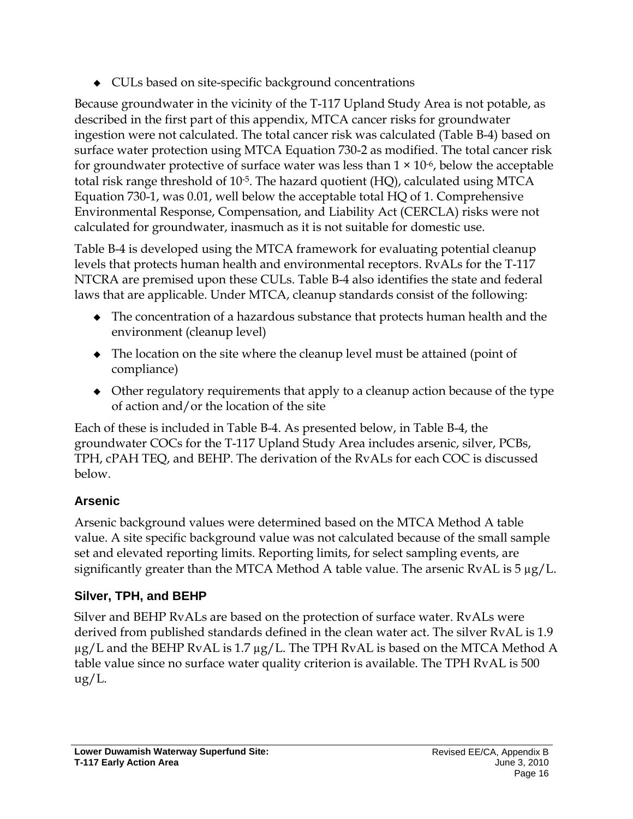CULs based on site-specific background concentrations

Because groundwater in the vicinity of the T-117 Upland Study Area is not potable, as described in the first part of this appendix, MTCA cancer risks for groundwater ingestion were not calculated. The total cancer risk was calculated (Table B-4) based on surface water protection using MTCA Equation 730-2 as modified. The total cancer risk for groundwater protective of surface water was less than  $1 \times 10^{-6}$ , below the acceptable total risk range threshold of 10-5. The hazard quotient (HQ), calculated using MTCA Equation 730-1, was 0.01, well below the acceptable total HQ of 1. Comprehensive Environmental Response, Compensation, and Liability Act (CERCLA) risks were not calculated for groundwater, inasmuch as it is not suitable for domestic use.

Table B-4 is developed using the MTCA framework for evaluating potential cleanup levels that protects human health and environmental receptors. RvALs for the T-117 NTCRA are premised upon these CULs. Table B-4 also identifies the state and federal laws that are applicable. Under MTCA, cleanup standards consist of the following:

- The concentration of a hazardous substance that protects human health and the environment (cleanup level)
- The location on the site where the cleanup level must be attained (point of compliance)
- Other regulatory requirements that apply to a cleanup action because of the type of action and/or the location of the site

Each of these is included in Table B-4. As presented below, in Table B-4, the groundwater COCs for the T-117 Upland Study Area includes arsenic, silver, PCBs, TPH, cPAH TEQ, and BEHP. The derivation of the RvALs for each COC is discussed below.

# **Arsenic**

Arsenic background values were determined based on the MTCA Method A table value. A site specific background value was not calculated because of the small sample set and elevated reporting limits. Reporting limits, for select sampling events, are significantly greater than the MTCA Method A table value. The arsenic RvAL is 5 µg/L.

# **Silver, TPH, and BEHP**

Silver and BEHP RvALs are based on the protection of surface water. RvALs were derived from published standards defined in the clean water act. The silver RvAL is 1.9  $\mu$ g/L and the BEHP RvAL is 1.7  $\mu$ g/L. The TPH RvAL is based on the MTCA Method A table value since no surface water quality criterion is available. The TPH RvAL is 500 ug/L.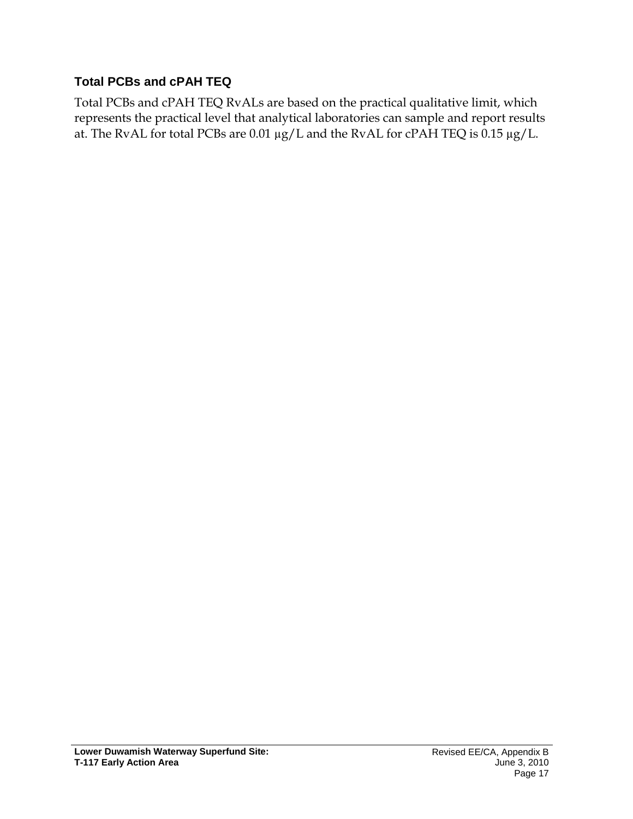### **Total PCBs and cPAH TEQ**

Total PCBs and cPAH TEQ RvALs are based on the practical qualitative limit, which represents the practical level that analytical laboratories can sample and report results at. The RvAL for total PCBs are 0.01 µg/L and the RvAL for cPAH TEQ is 0.15 µg/L.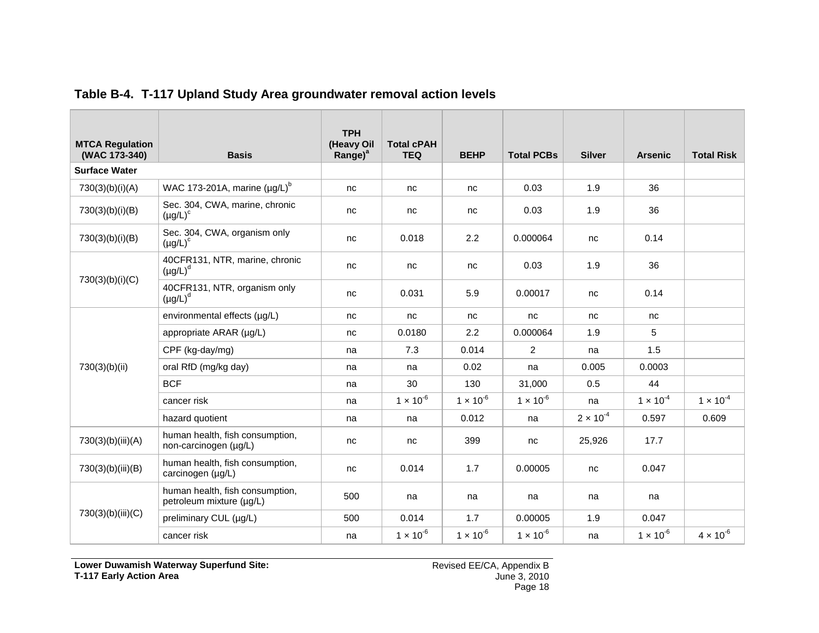<span id="page-18-0"></span>

| <b>MTCA Regulation</b><br>(WAC 173-340) | <b>Basis</b>                                                | <b>TPH</b><br>(Heavy Oil<br>Range) <sup>a</sup> | <b>Total cPAH</b><br><b>TEQ</b> | <b>BEHP</b>        | <b>Total PCBs</b>  | <b>Silver</b>      | <b>Arsenic</b>     | <b>Total Risk</b>  |
|-----------------------------------------|-------------------------------------------------------------|-------------------------------------------------|---------------------------------|--------------------|--------------------|--------------------|--------------------|--------------------|
| <b>Surface Water</b>                    |                                                             |                                                 |                                 |                    |                    |                    |                    |                    |
| 730(3)(b)(i)(A)                         | WAC 173-201A, marine $(\mu g/L)^b$                          | nc                                              | nc                              | nc                 | 0.03               | 1.9                | 36                 |                    |
| 730(3)(b)(i)(B)                         | Sec. 304, CWA, marine, chronic<br>$(\mu g/L)^c$             | nc                                              | nc                              | nc                 | 0.03               | 1.9                | 36                 |                    |
| 730(3)(b)(i)(B)                         | Sec. 304, CWA, organism only<br>$(\mu g/L)^c$               | nc                                              | 0.018                           | 2.2                | 0.000064           | nc                 | 0.14               |                    |
|                                         | 40CFR131, NTR, marine, chronic<br>$(\mu g/L)^d$             | nc                                              | nc                              | nc                 | 0.03               | 1.9                | 36                 |                    |
| 730(3)(b)(i)(C)                         | 40CFR131, NTR, organism only<br>$(\mu g/L)^d$               | nc                                              | 0.031                           | 5.9                | 0.00017            | nc                 | 0.14               |                    |
|                                         | environmental effects (µg/L)                                | nc                                              | nc                              | nc                 | nc                 | nc                 | nc                 |                    |
| 730(3)(b)(ii)                           | appropriate ARAR (µq/L)                                     | nc                                              | 0.0180                          | 2.2                | 0.000064           | 1.9                | 5                  |                    |
|                                         | CPF (kg-day/mg)                                             | na                                              | 7.3                             | 0.014              | $\overline{2}$     | na                 | 1.5                |                    |
|                                         | oral RfD (mg/kg day)                                        | na                                              | na                              | 0.02               | na                 | 0.005              | 0.0003             |                    |
|                                         | <b>BCF</b>                                                  | na                                              | 30                              | 130                | 31,000             | 0.5                | 44                 |                    |
|                                         | cancer risk                                                 | na                                              | $1 \times 10^{-6}$              | $1 \times 10^{-6}$ | $1 \times 10^{-6}$ | na                 | $1 \times 10^{-4}$ | $1 \times 10^{-4}$ |
|                                         | hazard quotient                                             | na                                              | na                              | 0.012              | na                 | $2 \times 10^{-4}$ | 0.597              | 0.609              |
| 730(3)(b)(iii)(A)                       | human health, fish consumption,<br>non-carcinogen (µg/L)    | nc                                              | nc                              | 399                | nc                 | 25,926             | 17.7               |                    |
| 730(3)(b)(iii)(B)                       | human health, fish consumption,<br>carcinogen (µg/L)        | nc                                              | 0.014                           | 1.7                | 0.00005            | nc                 | 0.047              |                    |
|                                         | human health, fish consumption,<br>petroleum mixture (µg/L) | 500                                             | na                              | na                 | na                 | na                 | na                 |                    |
| 730(3)(b)(iii)(C)                       | preliminary CUL (µg/L)                                      | 500                                             | 0.014                           | 1.7                | 0.00005            | 1.9                | 0.047              |                    |
|                                         | cancer risk                                                 | na                                              | $1 \times 10^{-6}$              | $1 \times 10^{-6}$ | $1 \times 10^{-6}$ | na                 | $1 \times 10^{-6}$ | $4 \times 10^{-6}$ |

#### **Table B-4. T-117 Upland Study Area groundwater removal action levels**

**Lower Duwamish Waterway Superfund Site: T-117 Early Action Area**

Revised EE/CA, Appendix B June 3, 2010 Page 18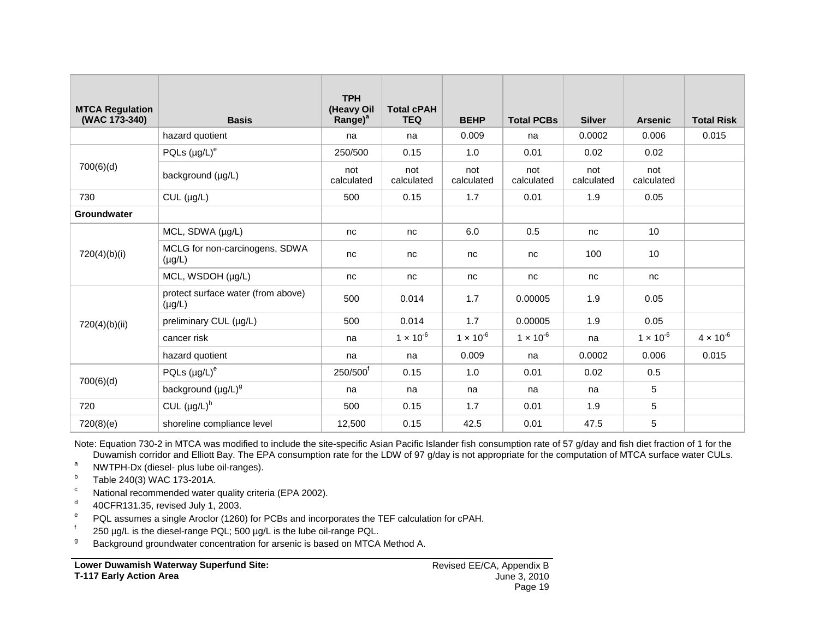| <b>MTCA Regulation</b><br>(WAC 173-340) | <b>Basis</b>                                      | <b>TPH</b><br>(Heavy Oil<br>$Range)^a$ | <b>Total cPAH</b><br><b>TEQ</b> | <b>BEHP</b>        | <b>Total PCBs</b>  | <b>Silver</b>     | <b>Arsenic</b>     | <b>Total Risk</b>  |
|-----------------------------------------|---------------------------------------------------|----------------------------------------|---------------------------------|--------------------|--------------------|-------------------|--------------------|--------------------|
|                                         | hazard quotient                                   | na                                     | na                              | 0.009              | na                 | 0.0002            | 0.006              | 0.015              |
|                                         | PQLs $(\mu g/L)^e$                                | 250/500                                | 0.15                            | 1.0                | 0.01               | 0.02              | 0.02               |                    |
| 700(6)(d)                               | background (µg/L)                                 | not<br>calculated                      | not<br>calculated               | not<br>calculated  | not<br>calculated  | not<br>calculated | not<br>calculated  |                    |
| 730                                     | $CUL$ ( $\mu g/L$ )                               | 500                                    | 0.15                            | 1.7                | 0.01               | 1.9               | 0.05               |                    |
| Groundwater                             |                                                   |                                        |                                 |                    |                    |                   |                    |                    |
|                                         | MCL, SDWA (µg/L)                                  | nc                                     | nc                              | 6.0                | 0.5                | nc                | 10                 |                    |
| 720(4)(b)(i)                            | MCLG for non-carcinogens, SDWA<br>$(\mu g/L)$     | nc                                     | nc                              | nc                 | nc                 | 100               | 10                 |                    |
|                                         | MCL, WSDOH (µg/L)                                 | nc                                     | nc                              | nc                 | nc                 | nc                | nc                 |                    |
|                                         | protect surface water (from above)<br>$(\mu g/L)$ | 500                                    | 0.014                           | 1.7                | 0.00005            | 1.9               | 0.05               |                    |
| 720(4)(b)(ii)                           | preliminary CUL (µg/L)                            | 500                                    | 0.014                           | 1.7                | 0.00005            | 1.9               | 0.05               |                    |
|                                         | cancer risk                                       | na                                     | $1 \times 10^{-6}$              | $1 \times 10^{-6}$ | $1 \times 10^{-6}$ | na                | $1 \times 10^{-6}$ | $4 \times 10^{-6}$ |
|                                         | hazard quotient                                   | na                                     | na                              | 0.009              | na                 | 0.0002            | 0.006              | 0.015              |
|                                         | PQLs $(\mu g/L)^e$                                | 250/500 <sup>t</sup>                   | 0.15                            | 1.0                | 0.01               | 0.02              | 0.5                |                    |
| 700(6)(d)                               | background (µg/L) <sup>g</sup>                    | na                                     | na                              | na                 | na                 | na                | 5                  |                    |
| 720                                     | CUL $(\mu g/L)^h$                                 | 500                                    | 0.15                            | 1.7                | 0.01               | 1.9               | 5                  |                    |
| 720(8)(e)                               | shoreline compliance level                        | 12,500                                 | 0.15                            | 42.5               | 0.01               | 47.5              | 5                  |                    |

Note: Equation 730-2 in MTCA was modified to include the site-specific Asian Pacific Islander fish consumption rate of 57 g/day and fish diet fraction of 1 for the Duwamish corridor and Elliott Bay. The EPA consumption rate for the LDW of 97 g/day is not appropriate for the computation of MTCA surface water CULs.

a NWTPH-Dx (diesel- plus lube oil-ranges).

 $b$  Table 240(3) WAC 173-201A.

<sup>c</sup> National recommended water quality criteria (EPA 2002).

 $d = 40$ CFR131.35, revised July 1, 2003.

<sup>e</sup> PQL assumes a single Aroclor (1260) for PCBs and incorporates the TEF calculation for cPAH.

 $\frac{1}{2}$  250 µg/L is the diesel-range PQL; 500 µg/L is the lube oil-range PQL.

<sup>g</sup> Background groundwater concentration for arsenic is based on MTCA Method A.

**Lower Duwamish Waterway Superfund Site: T-117 Early Action Area**

Revised EE/CA, Appendix B June 3, 2010 Page 19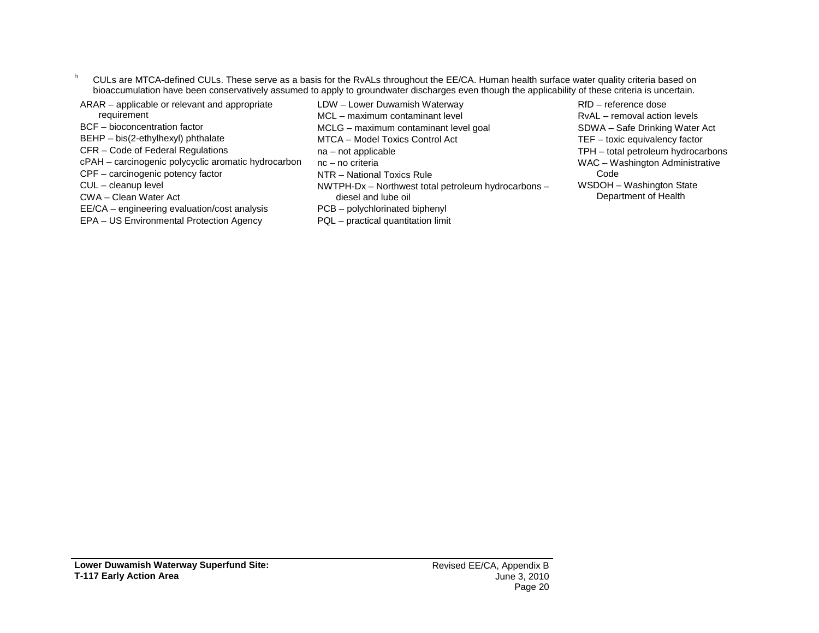- <sup>h</sup> CULs are MTCA-defined CULs. These serve as a basis for the RvALs throughout the EE/CA. Human health surface water quality criteria based on bioaccumulation have been conservatively assumed to apply to groundwater discharges even though the applicability of these criteria is uncertain.
- ARAR applicable or relevant and appropriate requirement
- BCF bioconcentration factor
- BEHP bis(2-ethylhexyl) phthalate
- CFR Code of Federal Regulations
- cPAH carcinogenic polycyclic aromatic hydrocarbon
- CPF carcinogenic potency factor
- CUL cleanup level
- CWA Clean Water Act
- EE/CA engineering evaluation/cost analysis
- EPA US Environmental Protection Agency
- LDW Lower Duwamish Waterway
- MCL maximum contaminant level MCLG – maximum contaminant level goal
- MTCA Model Toxics Control Act
- na not applicable
- nc no criteria
- NTR National Toxics Rule
- NWTPH-Dx Northwest total petroleum hydrocarbons diesel and lube oil PCB – polychlorinated biphenyl
- PQL practical quantitation limit

RfD – reference dose RvAL – removal action levels SDWA – Safe Drinking Water Act TEF – toxic equivalency factor TPH – total petroleum hydrocarbons WAC – Washington Administrative Code WSDOH – Washington State Department of Health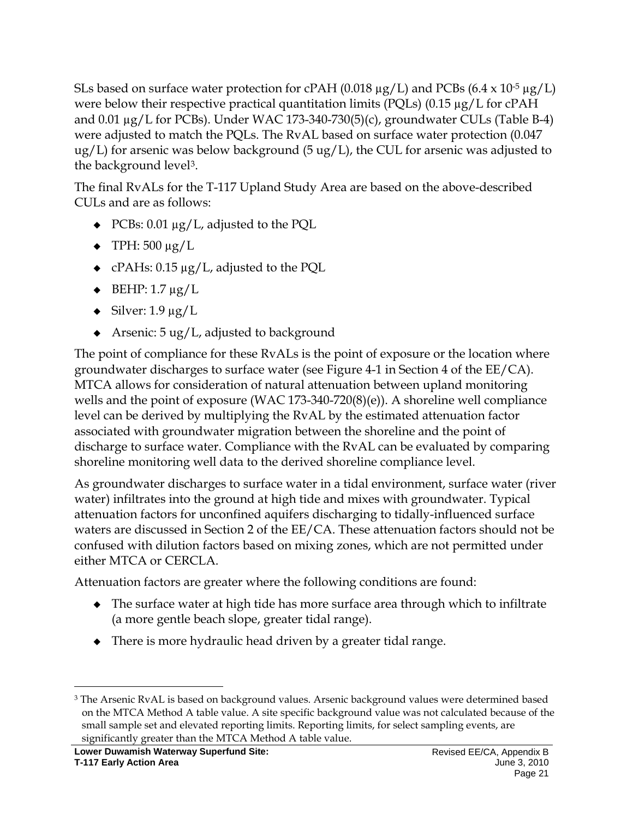SLs based on surface water protection for cPAH (0.018  $\mu$ g/L) and PCBs (6.4 x 10<sup>-5</sup>  $\mu$ g/L) were below their respective practical quantitation limits (PQLs) (0.15 µg/L for cPAH and 0.01 µg/L for PCBs). Under WAC 173-340-730(5)(c), groundwater CULs (Table B-4) were adjusted to match the PQLs. The RvAL based on surface water protection (0.047  $\mu$ g/L) for arsenic was below background (5 ug/L), the CUL for arsenic was adjusted to the background level<sup>[3](#page-21-0)</sup>.

The final RvALs for the T-117 Upland Study Area are based on the above-described CULs and are as follows:

- $\triangleleft$  PCBs: 0.01 µg/L, adjusted to the PQL
- $\blacklozenge$  TPH: 500 µg/L
- cPAHs:  $0.15 \mu g/L$ , adjusted to the PQL
- $\triangleleft$  BEHP: 1.7 µg/L
- $\bullet$  Silver: 1.9 µg/L
- $\triangleleft$  Arsenic: 5 ug/L, adjusted to background

The point of compliance for these RvALs is the point of exposure or the location where groundwater discharges to surface water (see Figure 4-1 in Section 4 of the EE/CA). MTCA allows for consideration of natural attenuation between upland monitoring wells and the point of exposure (WAC 173-340-720(8)(e)). A shoreline well compliance level can be derived by multiplying the RvAL by the estimated attenuation factor associated with groundwater migration between the shoreline and the point of discharge to surface water. Compliance with the RvAL can be evaluated by comparing shoreline monitoring well data to the derived shoreline compliance level.

As groundwater discharges to surface water in a tidal environment, surface water (river water) infiltrates into the ground at high tide and mixes with groundwater. Typical attenuation factors for unconfined aquifers discharging to tidally-influenced surface waters are discussed in Section 2 of the EE/CA. These attenuation factors should not be confused with dilution factors based on mixing zones, which are not permitted under either MTCA or CERCLA.

Attenuation factors are greater where the following conditions are found:

- The surface water at high tide has more surface area through which to infiltrate (a more gentle beach slope, greater tidal range).
- There is more hydraulic head driven by a greater tidal range.

<span id="page-21-0"></span><sup>&</sup>lt;sup>3</sup> The Arsenic RvAL is based on background values. Arsenic background values were determined based on the MTCA Method A table value. A site specific background value was not calculated because of the small sample set and elevated reporting limits. Reporting limits, for select sampling events, are significantly greater than the MTCA Method A table value.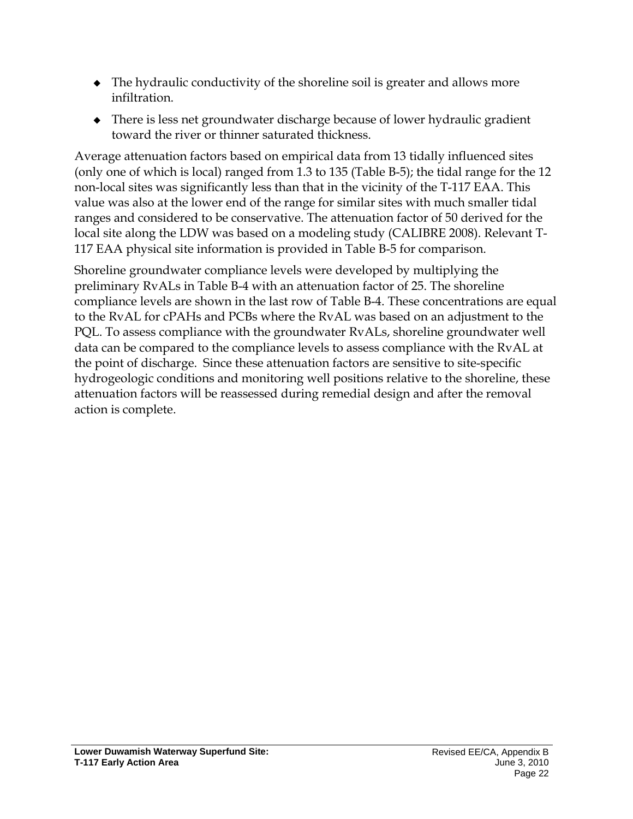- The hydraulic conductivity of the shoreline soil is greater and allows more infiltration.
- There is less net groundwater discharge because of lower hydraulic gradient toward the river or thinner saturated thickness.

Average attenuation factors based on empirical data from 13 tidally influenced sites (only one of which is local) ranged from 1.3 to 135 (Table B-5); the tidal range for the 12 non-local sites was significantly less than that in the vicinity of the T-117 EAA. This value was also at the lower end of the range for similar sites with much smaller tidal ranges and considered to be conservative. The attenuation factor of 50 derived for the local site along the LDW was based on a modeling study (CALIBRE 2008). Relevant T-117 EAA physical site information is provided in Table B-5 for comparison.

Shoreline groundwater compliance levels were developed by multiplying the preliminary RvALs in Table B-4 with an attenuation factor of 25. The shoreline compliance levels are shown in the last row of Table B-4. These concentrations are equal to the RvAL for cPAHs and PCBs where the RvAL was based on an adjustment to the PQL. To assess compliance with the groundwater RvALs, shoreline groundwater well data can be compared to the compliance levels to assess compliance with the RvAL at the point of discharge. Since these attenuation factors are sensitive to site-specific hydrogeologic conditions and monitoring well positions relative to the shoreline, these attenuation factors will be reassessed during remedial design and after the removal action is complete.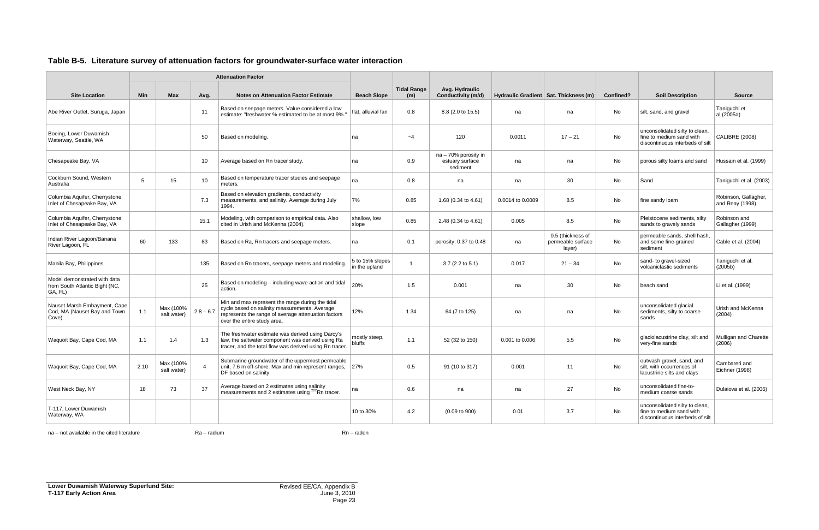#### <span id="page-23-0"></span>**Table B-5. Literature survey of attenuation factors for groundwater-surface water interaction**

|                                                                           |            |                          |             | <b>Attenuation Factor</b>                                                                                                                                                               |                                  |                           |                                                     |                  |                                                  |           |                                                                                               |                                         |
|---------------------------------------------------------------------------|------------|--------------------------|-------------|-----------------------------------------------------------------------------------------------------------------------------------------------------------------------------------------|----------------------------------|---------------------------|-----------------------------------------------------|------------------|--------------------------------------------------|-----------|-----------------------------------------------------------------------------------------------|-----------------------------------------|
| <b>Site Location</b>                                                      | <b>Min</b> | Max                      | Avg.        | <b>Notes on Attenuation Factor Estimate</b>                                                                                                                                             | <b>Beach Slope</b>               | <b>Tidal Range</b><br>(m) | Avg. Hydraulic<br>Conductivity (m/d)                |                  | Hydraulic Gradient   Sat. Thickness (m)          | Confined? | <b>Soil Description</b>                                                                       | <b>Source</b>                           |
| Abe River Outlet, Suruga, Japan                                           |            |                          | 11          | Based on seepage meters. Value considered a low<br>estimate: "freshwater % estimated to be at most 9%.                                                                                  | flat, alluvial fan               | 0.8                       | 8.8 (2.0 to 15.5)                                   | na               | na                                               | No        | silt, sand, and gravel                                                                        | Taniquchi et<br>al.(2005a)              |
| Boeing, Lower Duwamish<br>Waterway, Seattle, WA                           |            |                          | 50          | Based on modeling.                                                                                                                                                                      | na                               | $-4$                      | 120                                                 | 0.0011           | $17 - 21$                                        | No        | unconsolidated silty to clean,<br>fine to medium sand with<br>discontinuous interbeds of silt | <b>CALIBRE (2008)</b>                   |
| Chesapeake Bay, VA                                                        |            |                          | 10          | Average based on Rn tracer study.                                                                                                                                                       | na                               | 0.9                       | na - 70% porosity in<br>estuary surface<br>sediment | na               | na                                               | No        | porous silty loams and sand                                                                   | Hussain et al. (1999)                   |
| Cockburn Sound, Western<br>Australia                                      | 5          | 15                       | 10          | Based on temperature tracer studies and seepage<br>meters.                                                                                                                              | na                               | 0.8                       | na                                                  | na               | 30                                               | No        | Sand                                                                                          | Taniguchi et al. (2003)                 |
| Columbia Aquifer, Cherrystone<br>Inlet of Chesapeake Bay, VA              |            |                          | 7.3         | Based on elevation gradients, conductivity<br>measurements, and salinity. Average during July<br>1994.                                                                                  | 7%                               | 0.85                      | 1.68 (0.34 to 4.61)                                 | 0.0014 to 0.0089 | 8.5                                              | No        | fine sandy loam                                                                               | Robinson, Gallagher,<br>and Reay (1998) |
| Columbia Aquifer, Cherrystone<br>Inlet of Chesapeake Bay, VA              |            |                          | 15.1        | Modeling, with comparison to empirical data. Also<br>cited in Urish and McKenna (2004).                                                                                                 | shallow, low<br>slope            | 0.85                      | 2.48 (0.34 to 4.61)                                 | 0.005            | 8.5                                              | No        | Pleistocene sediments, silty<br>sands to gravely sands                                        | Robinson and<br>Gallagher (1999)        |
| Indian River Lagoon/Banana<br>River Lagoon, FL                            | 60         | 133                      | 83          | Based on Ra, Rn tracers and seepage meters.                                                                                                                                             | na                               | 0.1                       | porosity: 0.37 to 0.48                              | na               | 0.5 (thickness of<br>permeable surface<br>layer) | <b>No</b> | permeable sands, shell hash.<br>and some fine-grained<br>sediment                             | Cable et al. (2004)                     |
| Manila Bay, Philippines                                                   |            |                          | 135         | Based on Rn tracers, seepage meters and modeling.                                                                                                                                       | 5 to 15% slopes<br>in the upland |                           | $3.7$ (2.2 to 5.1)                                  | 0.017            | $21 - 34$                                        | No        | sand- to gravel-sized<br>volcaniclastic sediments                                             | Taniguchi et al.<br>(2005b)             |
| Model demonstrated with data<br>from South Atlantic Bight (NC,<br>GA, FL) |            |                          | 25          | Based on modeling - including wave action and tidal<br>action.                                                                                                                          | 20%                              | 1.5                       | 0.001                                               | na               | 30                                               | No.       | beach sand                                                                                    | Li et al. (1999)                        |
| Nauset Marsh Embayment, Cape<br>Cod, MA (Nauset Bay and Town<br>Cove)     | 1.1        | Max (100%<br>salt water) | $2.8 - 6.7$ | Min and max represent the range during the tidal<br>cycle based on salinity measurements. Average<br>represents the range of average attenuation factors<br>over the entire study area. | 12%                              | 1.34                      | 64 (7 to 125)                                       | na               | na                                               | No        | unconsolidated glacial<br>sediments, silty to coarse<br>sands                                 | Urish and McKenna<br>(2004)             |
| Waquoit Bay, Cape Cod, MA                                                 | 1.1        | 1.4                      | 1.3         | The freshwater estimate was derived using Darcy's<br>law, the saltwater component was derived using Ra<br>tracer, and the total flow was derived using Rn tracer.                       | mostly steep,<br>bluffs          | 1.1                       | 52 (32 to 150)                                      | 0.001 to 0.006   | 5.5                                              | No        | glaciolacustrine clay, silt and<br>very-fine sands                                            | Mulligan and Charette<br>(2006)         |
| Waquoit Bay, Cape Cod, MA                                                 | 2.10       | Max (100%<br>salt water) | 4           | Submarine groundwater of the uppermost permeable<br>unit, 7.6 m off-shore. Max and min represent ranges, 27%<br>DF based on salinity.                                                   |                                  | 0.5                       | 91 (10 to 317)                                      | 0.001            | 11                                               | No        | outwash gravel, sand, and<br>silt, with occurrences of<br>Iacustrine silts and clays          | Cambareri and<br>Eichner (1998)         |
| West Neck Bay, NY                                                         | 18         | 73                       | 37          | Average based on 2 estimates using salinity<br>measurements and 2 estimates using <sup>222</sup> Rn tracer.                                                                             | na                               | 0.6                       | na                                                  | na               | 27                                               | No        | unconsolidated fine-to-<br>medium coarse sands                                                | Dulaiova et al. (2006)                  |
| T-117, Lower Duwamish<br>Waterway, WA                                     |            |                          |             |                                                                                                                                                                                         | 10 to 30%                        | 4.2                       | $(0.09 \text{ to } 900)$                            | 0.01             | 3.7                                              | No        | unconsolidated silty to clean,<br>fine to medium sand with<br>discontinuous interbeds of silt |                                         |

na – not available in the cited literature **Ra – radium** Ra – radium Rn – radon Rn – radon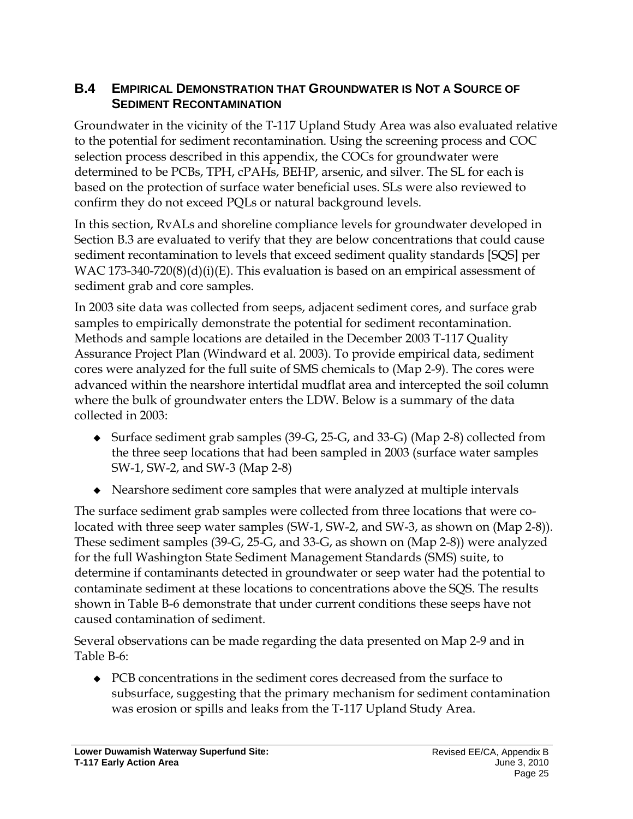### <span id="page-24-0"></span>**B.4 EMPIRICAL DEMONSTRATION THAT GROUNDWATER IS NOT A SOURCE OF SEDIMENT RECONTAMINATION**

Groundwater in the vicinity of the T-117 Upland Study Area was also evaluated relative to the potential for sediment recontamination. Using the screening process and COC selection process described in this appendix, the COCs for groundwater were determined to be PCBs, TPH, cPAHs, BEHP, arsenic, and silver. The SL for each is based on the protection of surface water beneficial uses. SLs were also reviewed to confirm they do not exceed PQLs or natural background levels.

In this section, RvALs and shoreline compliance levels for groundwater developed in Section B.3 are evaluated to verify that they are below concentrations that could cause sediment recontamination to levels that exceed sediment quality standards [SQS] per WAC 173-340-720 $(8)(d)(i)(E)$ . This evaluation is based on an empirical assessment of sediment grab and core samples.

In 2003 site data was collected from seeps, adjacent sediment cores, and surface grab samples to empirically demonstrate the potential for sediment recontamination. Methods and sample locations are detailed in the December 2003 T-117 Quality Assurance Project Plan (Windward et al. 2003). To provide empirical data, sediment cores were analyzed for the full suite of SMS chemicals to (Map 2-9). The cores were advanced within the nearshore intertidal mudflat area and intercepted the soil column where the bulk of groundwater enters the LDW. Below is a summary of the data collected in 2003:

- Surface sediment grab samples (39-G, 25-G, and 33-G) (Map 2-8) collected from the three seep locations that had been sampled in 2003 (surface water samples SW-1, SW-2, and SW-3 (Map 2-8)
- Nearshore sediment core samples that were analyzed at multiple intervals

The surface sediment grab samples were collected from three locations that were colocated with three seep water samples (SW-1, SW-2, and SW-3, as shown on (Map 2-8)). These sediment samples (39-G, 25-G, and 33-G, as shown on (Map 2-8)) were analyzed for the full Washington State Sediment Management Standards (SMS) suite, to determine if contaminants detected in groundwater or seep water had the potential to contaminate sediment at these locations to concentrations above the SQS. The results shown in Table B-6 demonstrate that under current conditions these seeps have not caused contamination of sediment.

Several observations can be made regarding the data presented on Map 2-9 and in Table B-6:

 PCB concentrations in the sediment cores decreased from the surface to subsurface, suggesting that the primary mechanism for sediment contamination was erosion or spills and leaks from the T-117 Upland Study Area.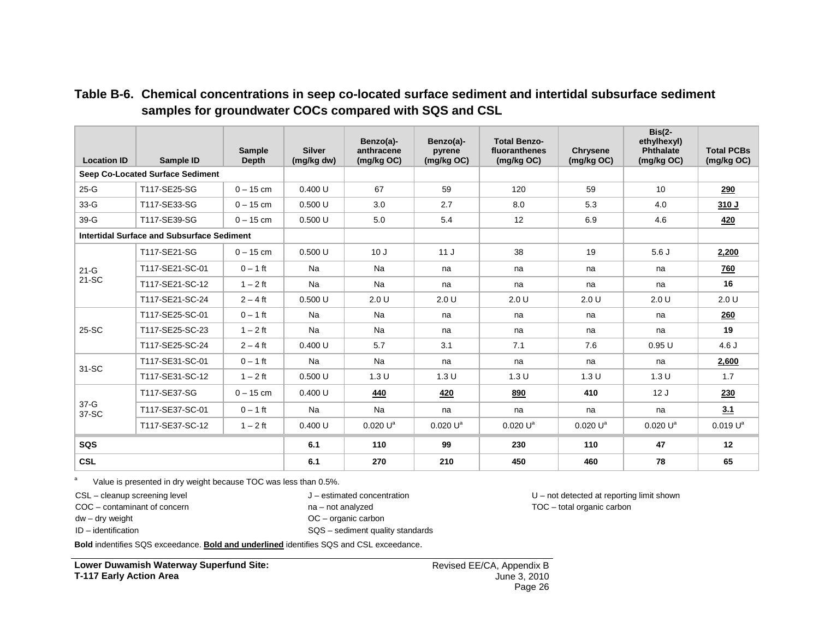<span id="page-25-0"></span>

| <b>Location ID</b> | Sample ID                                         | <b>Sample</b><br><b>Depth</b> | <b>Silver</b><br>(mg/kg dw) | Benzo(a)-<br>anthracene<br>(mg/kg OC) | Benzo(a)-<br>pyrene<br>(mg/kg OC) | <b>Total Benzo-</b><br>fluoranthenes<br>(mg/kg OC) | <b>Chrysene</b><br>(mg/kg OC) | $Bis(2-$<br>ethylhexyl)<br>Phthalate<br>(mg/kg OC) | <b>Total PCBs</b><br>(mg/kg OC) |
|--------------------|---------------------------------------------------|-------------------------------|-----------------------------|---------------------------------------|-----------------------------------|----------------------------------------------------|-------------------------------|----------------------------------------------------|---------------------------------|
|                    | <b>Seep Co-Located Surface Sediment</b>           |                               |                             |                                       |                                   |                                                    |                               |                                                    |                                 |
| $25-G$             | T117-SE25-SG                                      | $0 - 15$ cm                   | 0.400 U                     | 67                                    | 59                                | 120                                                | 59                            | 10 <sup>1</sup>                                    | 290                             |
| $33-G$             | T117-SE33-SG                                      | $0 - 15$ cm                   | 0.500U                      | 3.0                                   | 2.7                               | 8.0                                                | 5.3                           | 4.0                                                | 310 J                           |
| 39-G               | T117-SE39-SG                                      | $0 - 15$ cm                   | 0.500U                      | 5.0                                   | 5.4                               | 12                                                 | 6.9                           | 4.6                                                | <u>420</u>                      |
|                    | <b>Intertidal Surface and Subsurface Sediment</b> |                               |                             |                                       |                                   |                                                    |                               |                                                    |                                 |
|                    | T117-SE21-SG                                      | $0 - 15$ cm                   | 0.500U                      | 10J                                   | 11J                               | 38                                                 | 19                            | 5.6J                                               | 2,200                           |
| $21-G$             | T117-SE21-SC-01                                   | $0 - 1$ ft                    | <b>Na</b>                   | Na                                    | na                                | na                                                 | na                            | na                                                 | <u>760</u>                      |
| 21-SC              | T117-SE21-SC-12                                   | $1 - 2$ ft                    | Na                          | Na                                    | na                                | na                                                 | na                            | na                                                 | 16                              |
|                    | T117-SE21-SC-24                                   | $2 - 4$ ft                    | 0.500U                      | 2.0 U                                 | 2.0 U                             | 2.0 U                                              | 2.0 U                         | 2.0 U                                              | 2.0 U                           |
|                    | T117-SE25-SC-01                                   | $0 - 1$ ft                    | Na                          | Na                                    | na                                | na                                                 | na                            | na                                                 | 260                             |
| 25-SC              | T117-SE25-SC-23                                   | $1 - 2$ ft                    | Na                          | Na                                    | na                                | na                                                 | na                            | na                                                 | 19                              |
|                    | T117-SE25-SC-24                                   | $2 - 4$ ft                    | 0.400 U                     | 5.7                                   | 3.1                               | 7.1                                                | 7.6                           | 0.95U                                              | 4.6J                            |
| 31-SC              | T117-SE31-SC-01                                   | $0 - 1$ ft                    | Na                          | Na                                    | na                                | na                                                 | na                            | na                                                 | 2,600                           |
|                    | T117-SE31-SC-12                                   | $1 - 2$ ft                    | 0.500U                      | 1.3U                                  | 1.3U                              | 1.3 U                                              | 1.3U                          | 1.3U                                               | 1.7                             |
|                    | T117-SE37-SG                                      | $0 - 15$ cm                   | 0.400 U                     | 440                                   | 420                               | 890                                                | 410                           | 12J                                                | 230                             |
| $37 - G$<br>37-SC  | T117-SE37-SC-01                                   | $0 - 1$ ft                    | <b>Na</b>                   | Na                                    | na                                | na                                                 | na                            | na                                                 | 3.1                             |
|                    | T117-SE37-SC-12                                   | $1 - 2$ ft                    | 0.400 U                     | 0.020 U <sup>a</sup>                  | $0.020 U^a$                       | 0.020 U <sup>a</sup>                               | $0.020 U^a$                   | 0.020 U <sup>a</sup>                               | 0.019 U <sup>a</sup>            |
| SQS                |                                                   |                               | 6.1                         | 110                                   | 99                                | 230                                                | 110                           | 47                                                 | 12                              |
| <b>CSL</b>         |                                                   |                               | 6.1                         | 270                                   | 210                               | 450                                                | 460                           | 78                                                 | 65                              |

#### **Table B-6. Chemical concentrations in seep co-located surface sediment and intertidal subsurface sediment samples for groundwater COCs compared with SQS and CSL**

 $a$  Value is presented in dry weight because TOC was less than 0.5%.

CSL – cleanup screening level

COC – contaminant of concern

J – estimated concentration

na – not analyzed

OC – organic carbon

dw – dry weight ID – identification

SQS – sediment quality standards

U – not detected at reporting limit shown TOC – total organic carbon

**Bold** indentifies SQS exceedance. **Bold and underlined** identifies SQS and CSL exceedance.

**Lower Duwamish Waterway Superfund Site: T-117 Early Action Area**

Revised EE/CA, Appendix B June 3, 2010 Page 26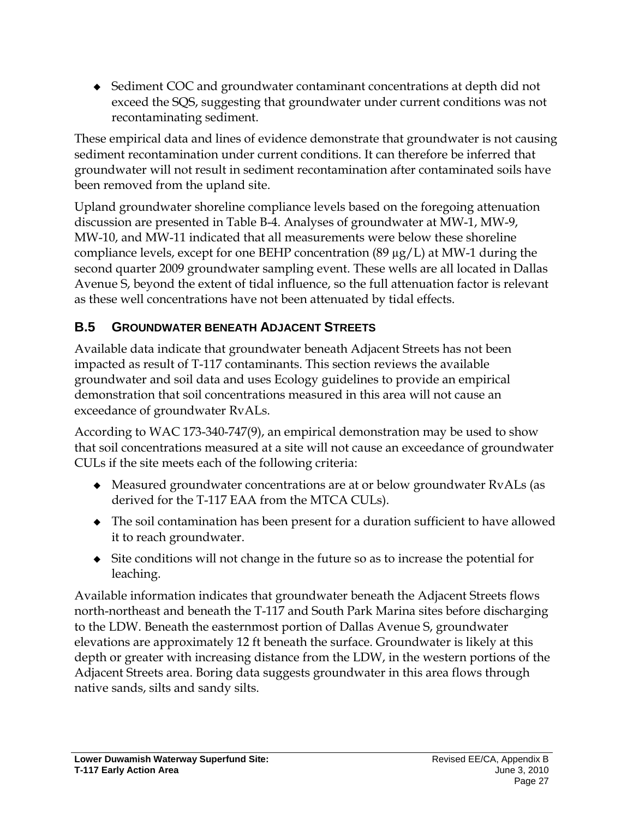◆ Sediment COC and groundwater contaminant concentrations at depth did not exceed the SQS, suggesting that groundwater under current conditions was not recontaminating sediment.

These empirical data and lines of evidence demonstrate that groundwater is not causing sediment recontamination under current conditions. It can therefore be inferred that groundwater will not result in sediment recontamination after contaminated soils have been removed from the upland site.

Upland groundwater shoreline compliance levels based on the foregoing attenuation discussion are presented in Table B-4. Analyses of groundwater at MW-1, MW-9, MW-10, and MW-11 indicated that all measurements were below these shoreline compliance levels, except for one BEHP concentration (89  $\mu$ g/L) at MW-1 during the second quarter 2009 groundwater sampling event. These wells are all located in Dallas Avenue S, beyond the extent of tidal influence, so the full attenuation factor is relevant as these well concentrations have not been attenuated by tidal effects.

### <span id="page-26-0"></span>**B.5 GROUNDWATER BENEATH ADJACENT STREETS**

Available data indicate that groundwater beneath Adjacent Streets has not been impacted as result of T-117 contaminants. This section reviews the available groundwater and soil data and uses Ecology guidelines to provide an empirical demonstration that soil concentrations measured in this area will not cause an exceedance of groundwater RvALs.

According to WAC 173-340-747(9), an empirical demonstration may be used to show that soil concentrations measured at a site will not cause an exceedance of groundwater CULs if the site meets each of the following criteria:

- Measured groundwater concentrations are at or below groundwater RvALs (as derived for the T-117 EAA from the MTCA CULs).
- The soil contamination has been present for a duration sufficient to have allowed it to reach groundwater.
- Site conditions will not change in the future so as to increase the potential for leaching.

Available information indicates that groundwater beneath the Adjacent Streets flows north-northeast and beneath the T-117 and South Park Marina sites before discharging to the LDW. Beneath the easternmost portion of Dallas Avenue S, groundwater elevations are approximately 12 ft beneath the surface. Groundwater is likely at this depth or greater with increasing distance from the LDW, in the western portions of the Adjacent Streets area. Boring data suggests groundwater in this area flows through native sands, silts and sandy silts.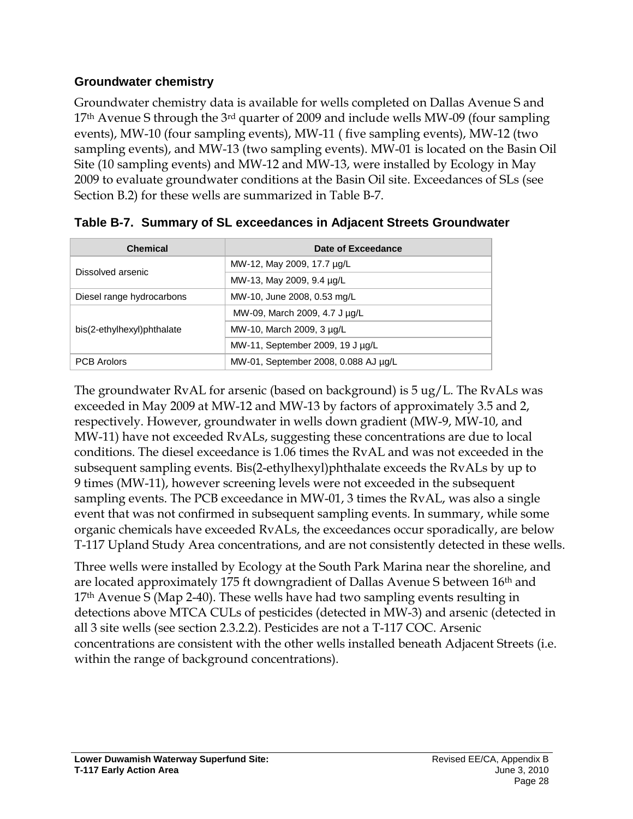### **Groundwater chemistry**

Groundwater chemistry data is available for wells completed on Dallas Avenue S and  $17<sup>th</sup>$  Avenue S through the 3<sup>rd</sup> quarter of 2009 and include wells MW-09 (four sampling events), MW-10 (four sampling events), MW-11 ( five sampling events), MW-12 (two sampling events), and MW-13 (two sampling events). MW-01 is located on the Basin Oil Site (10 sampling events) and MW-12 and MW-13, were installed by Ecology in May 2009 to evaluate groundwater conditions at the Basin Oil site. Exceedances of SLs (see Section B.2) for these wells are summarized in Table B-7.

| <b>Chemical</b>            | Date of Exceedance                   |
|----------------------------|--------------------------------------|
| Dissolved arsenic          | MW-12, May 2009, 17.7 µg/L           |
|                            | MW-13, May 2009, 9.4 µg/L            |
| Diesel range hydrocarbons  | MW-10, June 2008, 0.53 mg/L          |
|                            | MW-09, March 2009, 4.7 J µg/L        |
| bis(2-ethylhexyl)phthalate | MW-10, March 2009, 3 µg/L            |
|                            | MW-11, September 2009, 19 J µg/L     |
| <b>PCB</b> Arolors         | MW-01, September 2008, 0.088 AJ µq/L |

<span id="page-27-0"></span>

|  |  |  | Table B-7. Summary of SL exceedances in Adjacent Streets Groundwater |
|--|--|--|----------------------------------------------------------------------|
|  |  |  |                                                                      |

The groundwater RvAL for arsenic (based on background) is 5 ug/L. The RvALs was exceeded in May 2009 at MW-12 and MW-13 by factors of approximately 3.5 and 2, respectively. However, groundwater in wells down gradient (MW-9, MW-10, and MW-11) have not exceeded RvALs, suggesting these concentrations are due to local conditions. The diesel exceedance is 1.06 times the RvAL and was not exceeded in the subsequent sampling events. Bis(2-ethylhexyl)phthalate exceeds the RvALs by up to 9 times (MW-11), however screening levels were not exceeded in the subsequent sampling events. The PCB exceedance in MW-01, 3 times the RvAL, was also a single event that was not confirmed in subsequent sampling events. In summary, while some organic chemicals have exceeded RvALs, the exceedances occur sporadically, are below T-117 Upland Study Area concentrations, and are not consistently detected in these wells.

Three wells were installed by Ecology at the South Park Marina near the shoreline, and are located approximately 175 ft downgradient of Dallas Avenue S between 16<sup>th</sup> and 17th Avenue S (Map 2-40). These wells have had two sampling events resulting in detections above MTCA CULs of pesticides (detected in MW-3) and arsenic (detected in all 3 site wells (see section 2.3.2.2). Pesticides are not a T-117 COC. Arsenic concentrations are consistent with the other wells installed beneath Adjacent Streets (i.e. within the range of background concentrations).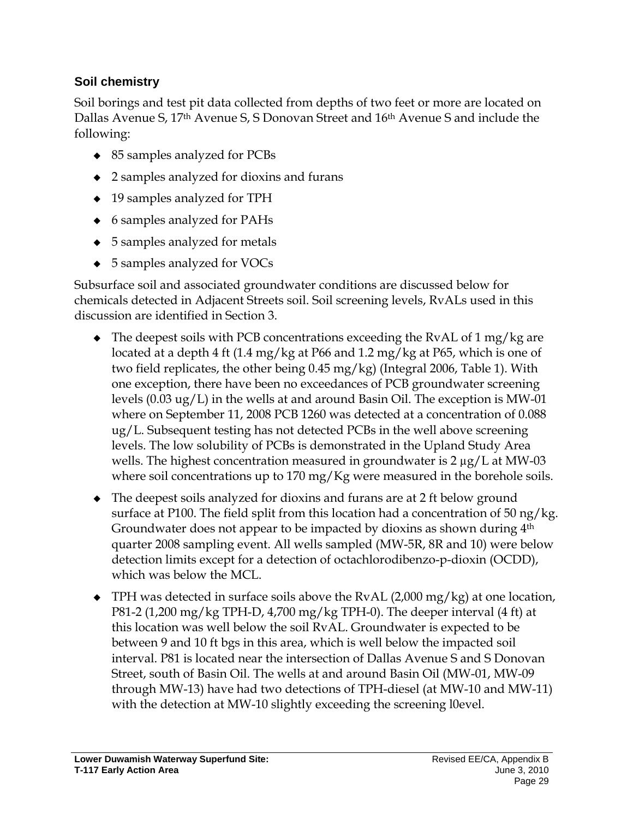### **Soil chemistry**

Soil borings and test pit data collected from depths of two feet or more are located on Dallas Avenue S, 17th Avenue S, S Donovan Street and 16th Avenue S and include the following:

- ◆ 85 samples analyzed for PCBs
- 2 samples analyzed for dioxins and furans
- ◆ 19 samples analyzed for TPH
- 6 samples analyzed for PAHs
- ◆ 5 samples analyzed for metals
- ◆ 5 samples analyzed for VOCs

Subsurface soil and associated groundwater conditions are discussed below for chemicals detected in Adjacent Streets soil. Soil screening levels, RvALs used in this discussion are identified in Section 3.

- $\bullet$  The deepest soils with PCB concentrations exceeding the RvAL of 1 mg/kg are located at a depth 4 ft (1.4 mg/kg at P66 and 1.2 mg/kg at P65, which is one of two field replicates, the other being 0.45 mg/kg) (Integral 2006, Table 1). With one exception, there have been no exceedances of PCB groundwater screening levels (0.03 ug/L) in the wells at and around Basin Oil. The exception is MW-01 where on September 11, 2008 PCB 1260 was detected at a concentration of 0.088 ug/L. Subsequent testing has not detected PCBs in the well above screening levels. The low solubility of PCBs is demonstrated in the Upland Study Area wells. The highest concentration measured in groundwater is 2  $\mu$ g/L at MW-03 where soil concentrations up to 170 mg/Kg were measured in the borehole soils.
- The deepest soils analyzed for dioxins and furans are at 2 ft below ground surface at P100. The field split from this location had a concentration of 50 ng/kg. Groundwater does not appear to be impacted by dioxins as shown during  $4<sup>th</sup>$ quarter 2008 sampling event. All wells sampled (MW-5R, 8R and 10) were below detection limits except for a detection of octachlorodibenzo-p-dioxin (OCDD), which was below the MCL.
- ◆ TPH was detected in surface soils above the RvAL (2,000 mg/kg) at one location, P81-2 (1,200 mg/kg TPH-D, 4,700 mg/kg TPH-0). The deeper interval (4 ft) at this location was well below the soil RvAL. Groundwater is expected to be between 9 and 10 ft bgs in this area, which is well below the impacted soil interval. P81 is located near the intersection of Dallas Avenue S and S Donovan Street, south of Basin Oil. The wells at and around Basin Oil (MW-01, MW-09 through MW-13) have had two detections of TPH-diesel (at MW-10 and MW-11) with the detection at MW-10 slightly exceeding the screening l0evel.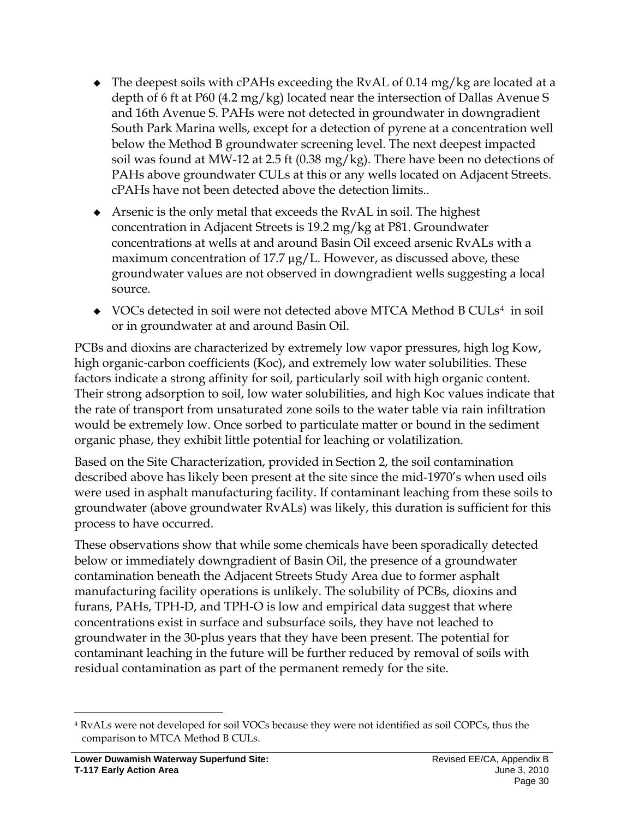- $\bullet$  The deepest soils with cPAHs exceeding the RvAL of 0.14 mg/kg are located at a depth of 6 ft at P60 (4.2 mg/kg) located near the intersection of Dallas Avenue S and 16th Avenue S. PAHs were not detected in groundwater in downgradient South Park Marina wells, except for a detection of pyrene at a concentration well below the Method B groundwater screening level. The next deepest impacted soil was found at MW-12 at 2.5 ft (0.38 mg/kg). There have been no detections of PAHs above groundwater CULs at this or any wells located on Adjacent Streets. cPAHs have not been detected above the detection limits..
- Arsenic is the only metal that exceeds the RvAL in soil. The highest concentration in Adjacent Streets is 19.2 mg/kg at P81. Groundwater concentrations at wells at and around Basin Oil exceed arsenic RvALs with a maximum concentration of 17.7  $\mu$ g/L. However, as discussed above, these groundwater values are not observed in downgradient wells suggesting a local source.
- VOCs detected in soil were not detected above MTCA Method B CULs<sup>[4](#page-29-0)</sup> in soil or in groundwater at and around Basin Oil.

PCBs and dioxins are characterized by extremely low vapor pressures, high log Kow, high organic-carbon coefficients (Koc), and extremely low water solubilities. These factors indicate a strong affinity for soil, particularly soil with high organic content. Their strong adsorption to soil, low water solubilities, and high Koc values indicate that the rate of transport from unsaturated zone soils to the water table via rain infiltration would be extremely low. Once sorbed to particulate matter or bound in the sediment organic phase, they exhibit little potential for leaching or volatilization.

Based on the Site Characterization, provided in Section 2, the soil contamination described above has likely been present at the site since the mid-1970's when used oils were used in asphalt manufacturing facility. If contaminant leaching from these soils to groundwater (above groundwater RvALs) was likely, this duration is sufficient for this process to have occurred.

These observations show that while some chemicals have been sporadically detected below or immediately downgradient of Basin Oil, the presence of a groundwater contamination beneath the Adjacent Streets Study Area due to former asphalt manufacturing facility operations is unlikely. The solubility of PCBs, dioxins and furans, PAHs, TPH-D, and TPH-O is low and empirical data suggest that where concentrations exist in surface and subsurface soils, they have not leached to groundwater in the 30-plus years that they have been present. The potential for contaminant leaching in the future will be further reduced by removal of soils with residual contamination as part of the permanent remedy for the site.

<span id="page-29-0"></span> <sup>4</sup> RvALs were not developed for soil VOCs because they were not identified as soil COPCs, thus the comparison to MTCA Method B CULs.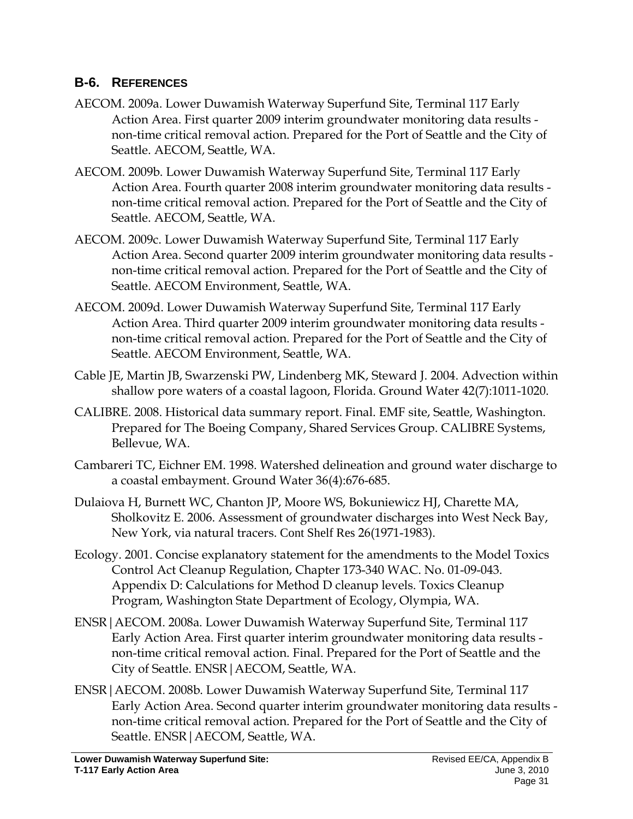### <span id="page-30-0"></span>**B-6. REFERENCES**

- AECOM. 2009a. Lower Duwamish Waterway Superfund Site, Terminal 117 Early Action Area. First quarter 2009 interim groundwater monitoring data results non-time critical removal action. Prepared for the Port of Seattle and the City of Seattle. AECOM, Seattle, WA.
- AECOM. 2009b. Lower Duwamish Waterway Superfund Site, Terminal 117 Early Action Area. Fourth quarter 2008 interim groundwater monitoring data results non-time critical removal action. Prepared for the Port of Seattle and the City of Seattle. AECOM, Seattle, WA.
- AECOM. 2009c. Lower Duwamish Waterway Superfund Site, Terminal 117 Early Action Area. Second quarter 2009 interim groundwater monitoring data results non-time critical removal action. Prepared for the Port of Seattle and the City of Seattle. AECOM Environment, Seattle, WA.
- AECOM. 2009d. Lower Duwamish Waterway Superfund Site, Terminal 117 Early Action Area. Third quarter 2009 interim groundwater monitoring data results non-time critical removal action. Prepared for the Port of Seattle and the City of Seattle. AECOM Environment, Seattle, WA.
- Cable JE, Martin JB, Swarzenski PW, Lindenberg MK, Steward J. 2004. Advection within shallow pore waters of a coastal lagoon, Florida. Ground Water 42(7):1011-1020.
- CALIBRE. 2008. Historical data summary report. Final. EMF site, Seattle, Washington. Prepared for The Boeing Company, Shared Services Group. CALIBRE Systems, Bellevue, WA.
- Cambareri TC, Eichner EM. 1998. Watershed delineation and ground water discharge to a coastal embayment. Ground Water 36(4):676-685.
- Dulaiova H, Burnett WC, Chanton JP, Moore WS, Bokuniewicz HJ, Charette MA, Sholkovitz E. 2006. Assessment of groundwater discharges into West Neck Bay, New York, via natural tracers. Cont Shelf Res 26(1971-1983).
- Ecology. 2001. Concise explanatory statement for the amendments to the Model Toxics Control Act Cleanup Regulation, Chapter 173-340 WAC. No. 01-09-043. Appendix D: Calculations for Method D cleanup levels. Toxics Cleanup Program, Washington State Department of Ecology, Olympia, WA.
- ENSR|AECOM. 2008a. Lower Duwamish Waterway Superfund Site, Terminal 117 Early Action Area. First quarter interim groundwater monitoring data results non-time critical removal action. Final. Prepared for the Port of Seattle and the City of Seattle. ENSR|AECOM, Seattle, WA.
- ENSR|AECOM. 2008b. Lower Duwamish Waterway Superfund Site, Terminal 117 Early Action Area. Second quarter interim groundwater monitoring data results non-time critical removal action. Prepared for the Port of Seattle and the City of Seattle. ENSR|AECOM, Seattle, WA.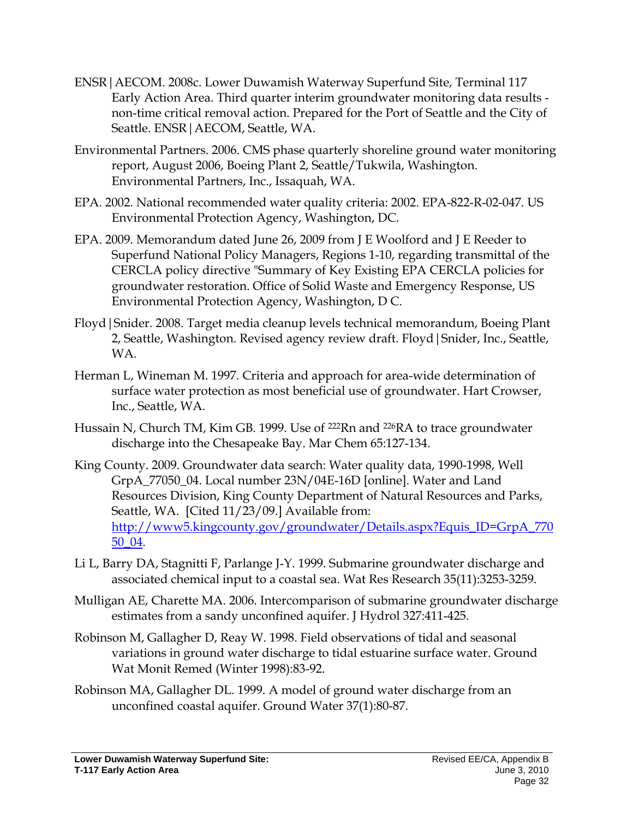- ENSR|AECOM. 2008c. Lower Duwamish Waterway Superfund Site, Terminal 117 Early Action Area. Third quarter interim groundwater monitoring data results non-time critical removal action. Prepared for the Port of Seattle and the City of Seattle. ENSR|AECOM, Seattle, WA.
- Environmental Partners. 2006. CMS phase quarterly shoreline ground water monitoring report, August 2006, Boeing Plant 2, Seattle/Tukwila, Washington. Environmental Partners, Inc., Issaquah, WA.
- EPA. 2002. National recommended water quality criteria: 2002. EPA-822-R-02-047. US Environmental Protection Agency, Washington, DC.
- EPA. 2009. Memorandum dated June 26, 2009 from J E Woolford and J E Reeder to Superfund National Policy Managers, Regions 1-10, regarding transmittal of the CERCLA policy directive "Summary of Key Existing EPA CERCLA policies for groundwater restoration. Office of Solid Waste and Emergency Response, US Environmental Protection Agency, Washington, D C.
- Floyd|Snider. 2008. Target media cleanup levels technical memorandum, Boeing Plant 2, Seattle, Washington. Revised agency review draft. Floyd|Snider, Inc., Seattle, WA.
- Herman L, Wineman M. 1997. Criteria and approach for area-wide determination of surface water protection as most beneficial use of groundwater. Hart Crowser, Inc., Seattle, WA.
- Hussain N, Church TM, Kim GB. 1999. Use of <sup>222</sup>Rn and <sup>226</sup>RA to trace groundwater discharge into the Chesapeake Bay. Mar Chem 65:127-134.
- King County. 2009. Groundwater data search: Water quality data, 1990-1998, Well GrpA\_77050\_04. Local number 23N/04E-16D [online]. Water and Land Resources Division, King County Department of Natural Resources and Parks, Seattle, WA. [Cited 11/23/09.] Available from: [http://www5.kingcounty.gov/groundwater/Details.aspx?Equis\\_ID=GrpA\\_770](http://www5.kingcounty.gov/groundwater/Details.aspx?Equis_ID=GrpA_77050_04) [50\\_04.](http://www5.kingcounty.gov/groundwater/Details.aspx?Equis_ID=GrpA_77050_04)
- Li L, Barry DA, Stagnitti F, Parlange J-Y. 1999. Submarine groundwater discharge and associated chemical input to a coastal sea. Wat Res Research 35(11):3253-3259.
- Mulligan AE, Charette MA. 2006. Intercomparison of submarine groundwater discharge estimates from a sandy unconfined aquifer. J Hydrol 327:411-425.
- Robinson M, Gallagher D, Reay W. 1998. Field observations of tidal and seasonal variations in ground water discharge to tidal estuarine surface water. Ground Wat Monit Remed (Winter 1998):83-92.
- Robinson MA, Gallagher DL. 1999. A model of ground water discharge from an unconfined coastal aquifer. Ground Water 37(1):80-87.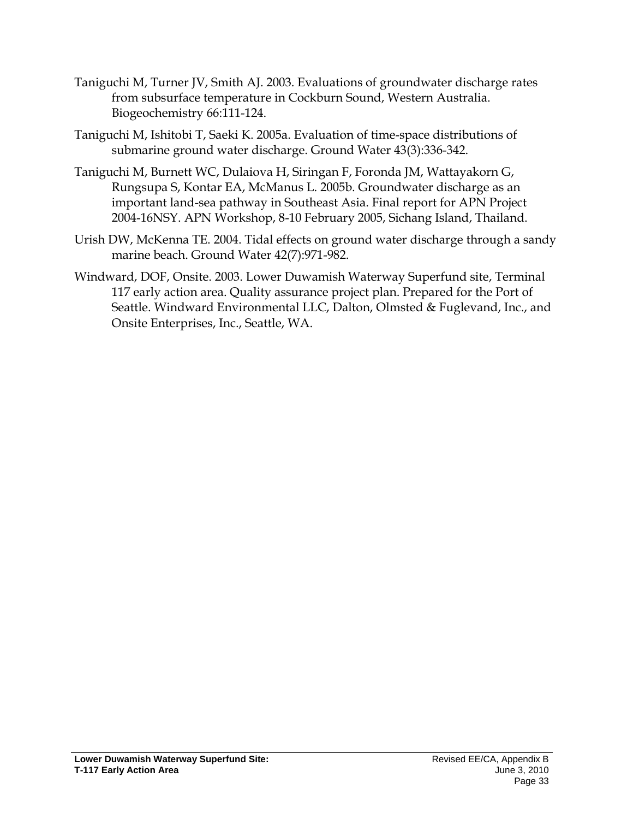- Taniguchi M, Turner JV, Smith AJ. 2003. Evaluations of groundwater discharge rates from subsurface temperature in Cockburn Sound, Western Australia. Biogeochemistry 66:111-124.
- Taniguchi M, Ishitobi T, Saeki K. 2005a. Evaluation of time-space distributions of submarine ground water discharge. Ground Water 43(3):336-342.
- Taniguchi M, Burnett WC, Dulaiova H, Siringan F, Foronda JM, Wattayakorn G, Rungsupa S, Kontar EA, McManus L. 2005b. Groundwater discharge as an important land-sea pathway in Southeast Asia. Final report for APN Project 2004-16NSY. APN Workshop, 8-10 February 2005, Sichang Island, Thailand.
- Urish DW, McKenna TE. 2004. Tidal effects on ground water discharge through a sandy marine beach. Ground Water 42(7):971-982.
- Windward, DOF, Onsite. 2003. Lower Duwamish Waterway Superfund site, Terminal 117 early action area. Quality assurance project plan. Prepared for the Port of Seattle. Windward Environmental LLC, Dalton, Olmsted & Fuglevand, Inc., and Onsite Enterprises, Inc., Seattle, WA.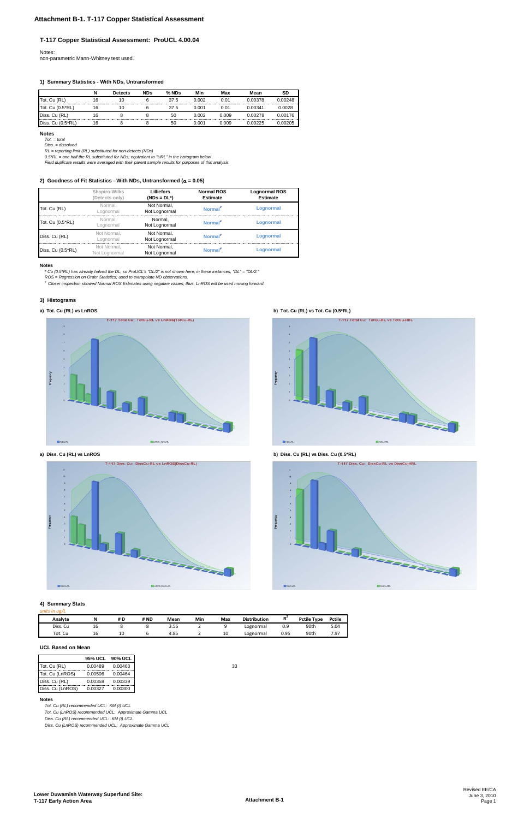#### **T-117 Copper Statistical Assessment: ProUCL 4.00.04**

Notes: non-parametric Mann-Whitney test used.

#### **1) Summary Statistics - With NDs, Untransformed**

|                   | N  | <b>Detects</b> | <b>NDs</b> | % NDs | Min   | Max                                     | Mean    | SD      |
|-------------------|----|----------------|------------|-------|-------|-----------------------------------------|---------|---------|
| Tot. Cu (RL)      | 16 |                |            | 37.5  | 0.002 | 0.01<br>------------------------------- | 0.00378 | በ በበ248 |
| Tot. Cu (0.5*RL)  | 16 | I U            |            | 37.5  | 0.001 | 0.01                                    | 0 00341 | .0028   |
| Diss. Cu (RL)     | 16 |                |            | 50    | 0.002 | 0.009                                   | በ በበ278 | 0.00176 |
| Diss. Cu (0.5*RL) | ۱b |                |            | 50    | ).001 | 0.009                                   | በ በበ225 |         |

#### **Notes**

*Tot. = total Diss. = dissolved*

*RL = reporting limit (RL) substituted for non-detects (NDs) 0.5\*RL = one half the RL substituted for NDs; equivalent to "HRL" in the histogram below*

*Field duplicate results were averaged with their parent sample results for purposes of this analysis.*

#### **2) Goodness of Fit Statistics - With NDs, Untransformed (**α **= 0.05)**

#### **Notes**

*\* Cu (0.5\*RL) has already halved the DL, so ProUCL's "DL/2" is not shown here; in these instances, "DL" = "DL/2."*

*ROS = Regression on Order Statistics; used to extrapolate ND observations.*

*# Closer inspection showed Normal ROS Estimates using negative values; thus, LnROS will be used moving forward.*

#### **3) Histograms**





T-117 Total Cu: TotCu-RL vs TotCu-HRL **ERAID** TL I

**a) Tot. Cu (RL) vs LnROS b) Tot. Cu (RL) vs Tot. Cu (0.5\*RL)**

**a) Diss. Cu (RL) vs LnROS b) Diss. Cu (RL) vs Diss. Cu (0.5\*RL)**

 $\blacksquare$ TotCu-R





#### **4) Summary Stats**

#### *units in ug/L*

| Analvte                                | N  | # D          | # ND | Mean | Min | Max | <b>Distribution</b> | в.   | Pctile Type | <b>Pctile</b> |
|----------------------------------------|----|--------------|------|------|-----|-----|---------------------|------|-------------|---------------|
| Diss. Cu                               | щc |              |      | 3.56 |     |     | Lognormal           | 0.9  | 90th        | 5.04          |
| Tot.<br>$\overline{\phantom{0}}$<br>ັບ | ΤL | $\sim$<br>τn |      | 4.85 |     | 10  | Lognormal           | 0.95 | 90th        | 7.97          |

#### **UCL Based on Mean**

|                   | Shapiro-Wilks<br>(Detects only) | Lilliefors<br>$(NDs = DL^*)$ | <b>Normal ROS</b><br><b>Estimate</b> | <b>Lognormal ROS</b><br><b>Estimate</b> |
|-------------------|---------------------------------|------------------------------|--------------------------------------|-----------------------------------------|
| Tot. Cu (RL)      | Normal.<br>Loanormal            | Not Normal.<br>Not Lognormal | Normal <sup>#</sup>                  | Lognormal                               |
| Tot. Cu (0.5*RL)  | Normal.<br>_ognormal            | Normal.<br>Not Lognormal     | Normal <sup>#</sup>                  | Lognormal                               |
| Diss. Cu (RL)     | Not Normal.<br>Lognormal        | Not Normal.<br>Not Lognormal | Normal#                              | Lognormal                               |
| Diss. Cu (0.5*RL) | Not Normal.<br>Not Lognormal    | Not Normal.<br>Not Lognormal | Normal <sup>#</sup>                  | Lognormal                               |

|                  |         | 95% UCL 90% UCL |
|------------------|---------|-----------------|
| Tot. Cu (RL)     | 0.00489 | 0.00463         |
| Tot. Cu (LnROS)  | 0.00506 | 0.00464         |
| Diss. Cu (RL)    | 0.00358 | 0.00339         |
| Diss. Cu (LnROS) | 0.00327 | 0.00300         |

#### **Notes**

*Tot. Cu (RL) recommended UCL: KM (t) UCL*

*Tot. Cu (LnROS) recommended UCL: Approximate Gamma UCL*

*Diss. Cu (RL) recommended UCL: KM (t) UCL*

*Diss. Cu (LnROS) recommended UCL: Approximate Gamma UCL*